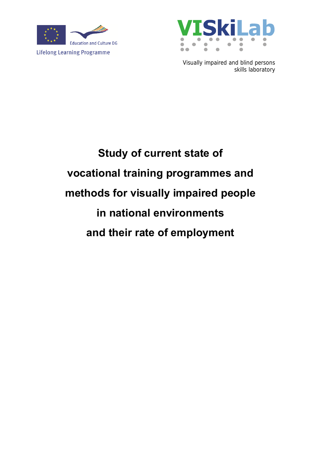



Visually impaired and blind persons skills laboratory

# **Study of current state of vocational training programmes and methods for visually impaired people in national environments and their rate of employment**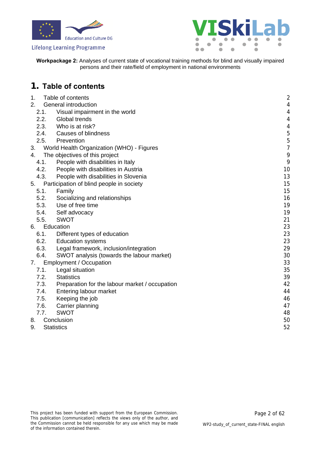



**Workpackage 2:** Analyses of current state of vocational training methods for blind and visually impaired persons and their rate/field of employment in national environments

### <span id="page-1-0"></span>**1. Table of contents**

| 1.   | Table of contents                              | $\overline{\mathbf{c}}$  |
|------|------------------------------------------------|--------------------------|
| 2.   | General introduction                           | $\overline{a}$           |
| 2.1. | Visual impairment in the world                 | $\overline{4}$           |
| 2.2. | Global trends                                  | $\overline{\mathcal{A}}$ |
| 2.3. | Who is at risk?                                | $\overline{a}$           |
|      | 2.4. Causes of blindness                       | 5                        |
| 2.5. | Prevention                                     | 5                        |
| 3.   | World Health Organization (WHO) - Figures      | $\overline{7}$           |
| 4.   | The objectives of this project                 | 9                        |
| 4.1. | People with disabilities in Italy              | 9                        |
| 4.2. | People with disabilities in Austria            | 10                       |
| 4.3. | People with disabilities in Slovenia           | 13                       |
| 5.   | Participation of blind people in society       | 15                       |
| 5.1. | Family                                         | 15                       |
| 5.2. | Socializing and relationships                  | 16                       |
| 5.3. | Use of free time                               | 19                       |
| 5.4. | Self advocacy                                  | 19                       |
| 5.5. | <b>SWOT</b>                                    | 21                       |
| 6.   | Education                                      | 23                       |
| 6.1. | Different types of education                   | 23                       |
| 6.2. | <b>Education systems</b>                       | 23                       |
| 6.3. | Legal framework, inclusion/integration         | 29                       |
| 6.4. | SWOT analysis (towards the labour market)      | 30                       |
| 7.   | <b>Employment / Occupation</b>                 | 33                       |
| 7.1. | Legal situation                                | 35                       |
| 7.2. | <b>Statistics</b>                              | 39                       |
| 7.3. | Preparation for the labour market / occupation | 42                       |
| 7.4. | Entering labour market                         | 44                       |
| 7.5. | Keeping the job                                | 46                       |
| 7.6. | Carrier planning                               | 47                       |
| 7.7. | <b>SWOT</b>                                    | 48                       |
| 8.   | Conclusion                                     | 50                       |
| 9.   | <b>Statistics</b>                              | 52                       |
|      |                                                |                          |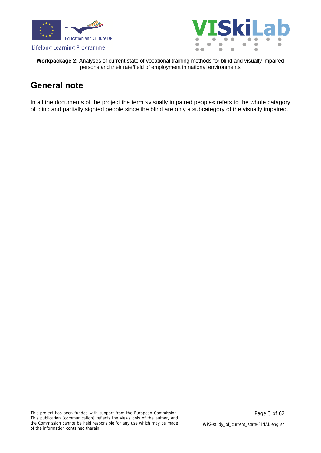



**Workpackage 2:** Analyses of current state of vocational training methods for blind and visually impaired persons and their rate/field of employment in national environments

### **General note**

In all the documents of the project the term »visually impaired people« refers to the whole catagory of blind and partially sighted people since the blind are only a subcategory of the visually impaired.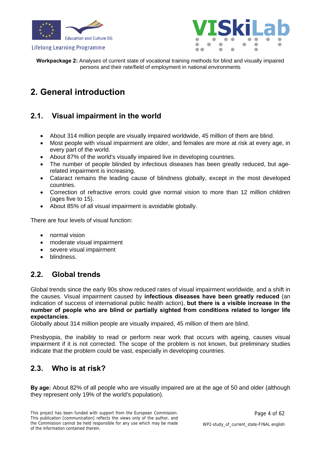





**Workpackage 2:** Analyses of current state of vocational training methods for blind and visually impaired persons and their rate/field of employment in national environments

### <span id="page-3-0"></span>**2. General introduction**

### <span id="page-3-1"></span>**2.1. Visual impairment in the world**

- About 314 million people are visually impaired worldwide, 45 million of them are blind.
- Most people with visual impairment are older, and females are more at risk at every age, in every part of the world.
- About 87% of the world's visually impaired live in developing countries.
- The number of people blinded by infectious diseases has been greatly reduced, but agerelated impairment is increasing.
- Cataract remains the leading cause of blindness globally, except in the most developed countries.
- Correction of refractive errors could give normal vision to more than 12 million children (ages five to 15).
- About 85% of all visual impairment is avoidable globally.

There are four levels of visual function:

- normal vision
- moderate visual impairment
- severe visual impairment
- blindness.

### **2.2. Global trends**

<span id="page-3-2"></span>Global trends since the early 90s show reduced rates of visual impairment worldwide, and a shift in the causes. Visual impairment caused by **infectious diseases have been greatly reduced** (an indication of success of international public health action), **but there is a visible increase in the number of people who are blind or partially sighted from conditions related to longer life expectancies**.

Globally about 314 million people are visually impaired, 45 million of them are blind.

Presbyopia, the inability to read or perform near work that occurs with ageing, causes visual impairment if it is not corrected. The scope of the problem is not known, but preliminary studies indicate that the problem could be vast, especially in developing countries.

### <span id="page-3-3"></span>**2.3. Who is at risk?**

**By age:** About 82% of all people who are visually impaired are at the age of 50 and older (although they represent only 19% of the world's population).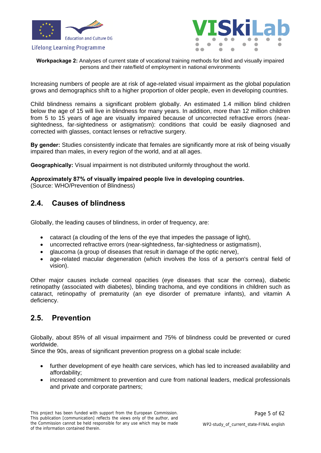



**Workpackage 2:** Analyses of current state of vocational training methods for blind and visually impaired persons and their rate/field of employment in national environments

Increasing numbers of people are at risk of age-related visual impairment as the global population grows and demographics shift to a higher proportion of older people, even in developing countries.

Child blindness remains a significant problem globally. An estimated 1.4 million blind children below the age of 15 will live in blindness for many years. In addition, more than 12 million children from 5 to 15 years of age are visually impaired because of uncorrected refractive errors (nearsightedness, far-sightedness or astigmatism): conditions that could be easily diagnosed and corrected with glasses, contact lenses or refractive surgery.

**By gender:** Studies consistently indicate that females are significantly more at risk of being visually impaired than males, in every region of the world, and at all ages.

**Geographically:** Visual impairment is not distributed uniformly throughout the world.

#### **Approximately 87% of visually impaired people live in developing countries.**  (Source: WHO/Prevention of Blindness)

### <span id="page-4-0"></span>**2.4. Causes of blindness**

Globally, the leading causes of blindness, in order of frequency, are:

- cataract (a clouding of the lens of the eye that impedes the passage of light),
- uncorrected refractive errors (near-sightedness, far-sightedness or astigmatism),
- glaucoma (a group of diseases that result in damage of the optic nerve),
- age-related macular degeneration (which involves the loss of a person's central field of vision).

Other major causes include corneal opacities (eye diseases that scar the cornea), diabetic retinopathy (associated with diabetes), blinding trachoma, and eye conditions in children such as cataract, retinopathy of prematurity (an eye disorder of premature infants), and vitamin A deficiency.

### <span id="page-4-1"></span>**2.5. Prevention**

Globally, about 85% of all visual impairment and 75% of blindness could be prevented or cured worldwide.

Since the 90s, areas of significant prevention progress on a global scale include:

- further development of eye health care services, which has led to increased availability and affordability;
- increased commitment to prevention and cure from national leaders, medical professionals and private and corporate partners;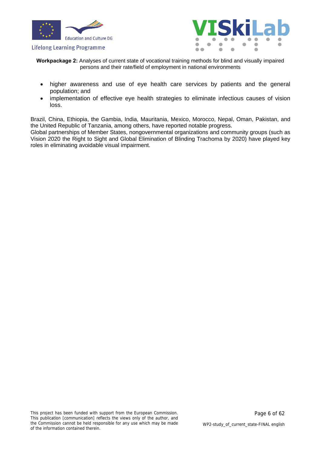



**Workpackage 2:** Analyses of current state of vocational training methods for blind and visually impaired persons and their rate/field of employment in national environments

- higher awareness and use of eye health care services by patients and the general population; and
- implementation of effective eye health strategies to eliminate infectious causes of vision loss.

Brazil, China, Ethiopia, the Gambia, India, Mauritania, Mexico, Morocco, Nepal, Oman, Pakistan, and the United Republic of Tanzania, among others, have reported notable progress.

Global partnerships of Member States, nongovernmental organizations and community groups (such as Vision 2020 the Right to Sight and Global Elimination of Blinding Trachoma by 2020) have played key roles in eliminating avoidable visual impairment.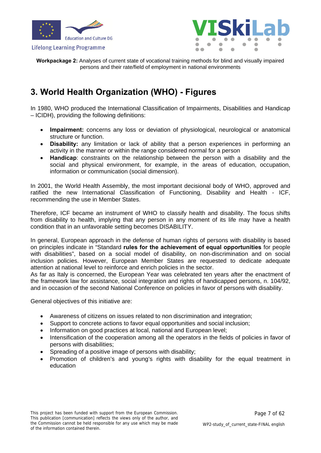



**Workpackage 2:** Analyses of current state of vocational training methods for blind and visually impaired persons and their rate/field of employment in national environments

### <span id="page-6-0"></span>**3. World Health Organization (WHO) - Figures**

In 1980, WHO produced the International Classification of Impairments, Disabilities and Handicap – ICIDH), providing the following definitions:

- **Impairment:** concerns any loss or deviation of physiological, neurological or anatomical structure or function.
- **Disability:** any limitation or lack of ability that a person experiences in performing an activity in the manner or within the range considered normal for a person
- **Handicap**: constraints on the relationship between the person with a disability and the social and physical environment, for example, in the areas of education, occupation, information or communication (social dimension).

In 2001, the World Health Assembly, the most important decisional body of WHO, approved and ratified the new International Classification of Functioning, Disability and Health - ICF, recommending the use in Member States.

Therefore, ICF became an instrument of WHO to classify health and disability. The focus shifts from disability to health, implying that any person in any moment of its life may have a health condition that in an unfavorable setting becomes DISABILITY.

In general, European approach in the defense of human rights of persons with disability is based on principles indicate in "Standard **rules for the achievement of equal opportunities** for people with disabilities", based on a social model of disability, on non-discrimination and on social inclusion policies. However, European Member States are requested to dedicate adequate attention at national level to reinforce and enrich policies in the sector.

As far as Italy is concerned, the European Year was celebrated ten years after the enactment of the framework law for assistance, social integration and rights of handicapped persons, n. 104/92, and in occasion of the second National Conference on policies in favor of persons with disability.

General objectives of this initiative are:

- Awareness of citizens on issues related to non discrimination and integration;
- Support to concrete actions to favor equal opportunities and social inclusion;
- Information on good practices at local, national and European level;
- Intensification of the cooperation among all the operators in the fields of policies in favor of persons with disabilities;
- Spreading of a positive image of persons with disability;
- Promotion of children's and young's rights with disability for the equal treatment in education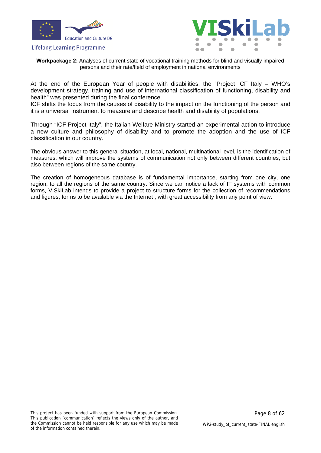



**Workpackage 2:** Analyses of current state of vocational training methods for blind and visually impaired persons and their rate/field of employment in national environments

At the end of the European Year of people with disabilities, the "Project ICF Italy – WHO's development strategy, training and use of international classification of functioning, disability and health" was presented during the final conference.

ICF shifts the focus from the causes of disability to the impact on the functioning of the person and it is a universal instrument to measure and describe health and disability of populations.

Through "ICF Project Italy", the Italian Welfare Ministry started an experimental action to introduce a new culture and philosophy of disability and to promote the adoption and the use of ICF classification in our country.

The obvious answer to this general situation, at local, national, multinational level, is the identification of measures, which will improve the systems of communication not only between different countries, but also between regions of the same country.

The creation of homogeneous database is of fundamental importance, starting from one city, one region, to all the regions of the same country. Since we can notice a lack of IT systems with common forms, VISkiLab intends to provide a project to structure forms for the collection of recommendations and figures, forms to be available via the Internet , with great accessibility from any point of view.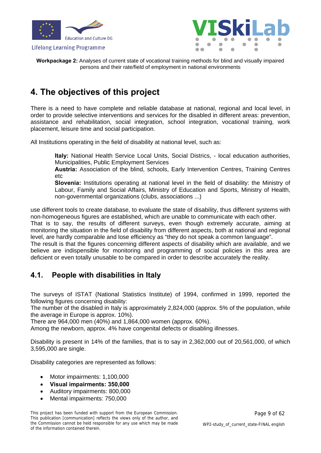



**Workpackage 2:** Analyses of current state of vocational training methods for blind and visually impaired persons and their rate/field of employment in national environments

### <span id="page-8-0"></span>**4. The objectives of this project**

There is a need to have complete and reliable database at national, regional and local level, in order to provide selective interventions and services for the disabled in different areas: prevention, assistance and rehabilitation, social integration, school integration, vocational training, work placement, leisure time and social participation.

All Institutions operating in the field of disability at national level, such as:

**Italy:** National Health Service Local Units, Social Districs, - local education authorities, Municipalities, Public Employment Services

**Austria:** Association of the blind, schools, Early Intervention Centres, Training Centres etc

**Slovenia:** Institutions operating at national level in the field of disability: the Ministry of Labour, Family and Social Affairs, Ministry of Education and Sports, Ministry of Health, non-governmental organizations (clubs, associations ...)

use different tools to create database, to evaluate the state of disability, thus different systems with non-homogeneous figures are established, which are unable to communicate with each other.

That is to say, the results of different surveys, even though extremely accurate, aiming at monitoring the situation in the field of disability from different aspects, both at national and regional level, are hardly comparable and lose efficiency as "they do not speak a common language".

The result is that the figures concerning different aspects of disability which are available, and we believe are indispensible for monitoring and programming of social policies in this area are deficient or even totally unusable to be compared in order to describe accurately the reality.

### <span id="page-8-1"></span>**4.1. People with disabilities in Italy**

The surveys of ISTAT (National Statistics Institute) of 1994, confirmed in 1999, reported the following figures concerning disability:

The number of the disabled in Italy is approximately 2,824,000 (approx. 5% of the population, while the average in Europe is approx. 10%).

There are 964,000 men (40%) and 1,864,000 women (approx. 60%).

Among the newborn, approx. 4% have congenital defects or disabling illnesses.

Disability is present in 14% of the families, that is to say in 2,362,000 out of 20,561,000, of which 3,595,000 are single.

Disability categories are represented as follows:

- Motor impairments: 1,100,000
- **Visual impairments: 350,000**
- Auditory impairments: 800,000
- Mental impairments: 750,000

This project has been funded with support from the European Commission. This publication [communication] reflects the views only of the author, and the Commission cannot be held responsible for any use which may be made of the information contained therein.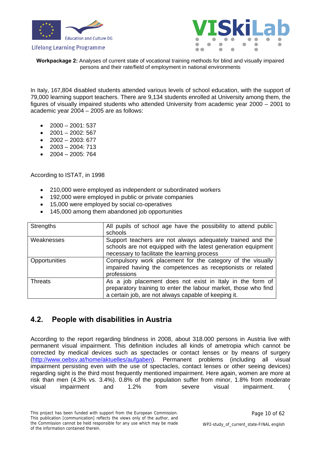



**Workpackage 2:** Analyses of current state of vocational training methods for blind and visually impaired persons and their rate/field of employment in national environments

In Italy, 167,804 disabled students attended various levels of school education, with the support of 79,000 learning support teachers. There are 9,134 students enrolled at University among them, the figures of visually impaired students who attended University from academic year 2000 – 2001 to academic year 2004 – 2005 are as follows:

- $\bullet$  2000 2001: 537
- 2001 2002: 567
- $\bullet$  2002 2003: 677
- $-2003 2004$ : 713
- $\bullet$  2004 2005: 764

According to ISTAT, in 1998

- 210,000 were employed as independent or subordinated workers
- 192,000 were employed in public or private companies
- 15,000 were employed by social co-operatives
- 145,000 among them abandoned job opportunities

| <b>Strengths</b> | All pupils of school age have the possibility to attend public<br>schools                                                                                                            |
|------------------|--------------------------------------------------------------------------------------------------------------------------------------------------------------------------------------|
| Weaknesses       | Support teachers are not always adequately trained and the<br>schools are not equipped with the latest generation equipment<br>necessary to facilitate the learning process          |
| Opportunities    | Compulsory work placement for the category of the visually<br>impaired having the competences as receptionists or related<br>professions                                             |
| <b>Threats</b>   | As a job placement does not exist in Italy in the form of<br>preparatory training to enter the labour market, those who find<br>a certain job, are not always capable of keeping it. |

### <span id="page-9-0"></span>**4.2. People with disabilities in Austria**

According to the report regarding blindness in 2008, about 318.000 persons in Austria live with permanent visual impairment. This definition includes all kinds of ametropia which cannot be corrected by medical devices such as spectacles or contact lenses or by means of surgery [\(http://www.oebsv.at/home/aktuelles/aufgaben](http://www.oebsv.at/home/aktuelles/aufgaben)). Permanent problems (including all visual impairment persisting even with the use of spectacles, contact lenses or other seeing devices) regarding sight is the third most frequently mentioned impairment. Here again, women are more at risk than men (4.3% vs. 3.4%). 0.8% of the population suffer from minor, 1.8% from moderate visual impairment and 1.2% from severe visual impairment. (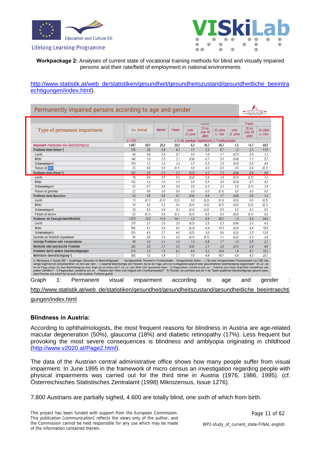



#### **Workpackage 2:** Analyses of current state of vocational training methods for blind and visually impaired persons and their rate/field of employment in national environments

#### [http://www.statistik.at/web\\_de/statistiken/gesundheit/gesundheitszustand/gesundheitliche\\_beeintra](http://www.statistik.at/web_de/statistiken/gesundheit/gesundheitszustand/gesundheitliche_beeintraechtigungen/index.html) [echtigungen/index.html\)](http://www.statistik.at/web_de/statistiken/gesundheit/gesundheitszustand/gesundheitliche_beeintraechtigungen/index.html).

| Type of permanent impairment                                                                                                                                                                                                                                                                                                                                                                                                                                                                                                                                                                                                                                                                                                                                                                                                                                                                                                                                                                            |          | In total | Männer | Frauen | unter<br>20 Jahre                                   | manner<br>20 bis<br>unter 60<br>Jahre | 60 Jahre<br>u, mehr | unter<br>20 Jahre | Frauen<br>20 bis<br>unter 60<br>Jahre | 60 Jahre<br>u, mehr |
|---------------------------------------------------------------------------------------------------------------------------------------------------------------------------------------------------------------------------------------------------------------------------------------------------------------------------------------------------------------------------------------------------------------------------------------------------------------------------------------------------------------------------------------------------------------------------------------------------------------------------------------------------------------------------------------------------------------------------------------------------------------------------------------------------------------------------------------------------------------------------------------------------------------------------------------------------------------------------------------------------------|----------|----------|--------|--------|-----------------------------------------------------|---------------------------------------|---------------------|-------------------|---------------------------------------|---------------------|
|                                                                                                                                                                                                                                                                                                                                                                                                                                                                                                                                                                                                                                                                                                                                                                                                                                                                                                                                                                                                         | in 1,000 |          |        |        | in % der jeweiligen Bevölkerung in Privathaushalten |                                       |                     |                   |                                       |                     |
| Insgesamt (mindestens eine Beeinträchtigung)                                                                                                                                                                                                                                                                                                                                                                                                                                                                                                                                                                                                                                                                                                                                                                                                                                                                                                                                                            | 1.687    | 20,5     | 20,2   | 20,8   | 6.2                                                 | 16,3                                  | 48,3                | 4,5               | 14,7                                  | 48.5                |
| Probleme beim Sehen ?)                                                                                                                                                                                                                                                                                                                                                                                                                                                                                                                                                                                                                                                                                                                                                                                                                                                                                                                                                                                  | 318      | 3.9      | 3,4    | 4.3    | 1.1                                                 | 2.2                                   | 9.7                 | 1.2               | 2.1                                   | 11.9                |
| Leicht                                                                                                                                                                                                                                                                                                                                                                                                                                                                                                                                                                                                                                                                                                                                                                                                                                                                                                                                                                                                  | 68       | 0.8      | 0.9    | 0.7    | 0.0                                                 | 1.0                                   | 1.7                 | (0.7)             | 0.5                                   | 1,3                 |
| Mittel                                                                                                                                                                                                                                                                                                                                                                                                                                                                                                                                                                                                                                                                                                                                                                                                                                                                                                                                                                                                  | 146      | 1.8      | 1.5    | 2.1    | (0, 4)                                              | 0.7                                   | 5.0                 | (0, 4)            | 1.1                                   | 5.7                 |
| Schwerwiegend                                                                                                                                                                                                                                                                                                                                                                                                                                                                                                                                                                                                                                                                                                                                                                                                                                                                                                                                                                                           | 101      | 1.2      | 1.0    | 1.4    | 0.7                                                 | 0.5                                   | 2.9                 | (0, 2)            | 0.5                                   | 4,6                 |
| Person ist blind                                                                                                                                                                                                                                                                                                                                                                                                                                                                                                                                                                                                                                                                                                                                                                                                                                                                                                                                                                                        | (3)      | 0.0      | 0.0    | (0, 1) | 0.0                                                 | 0.0                                   | 0.0                 | 0.0               | 0.0                                   | (0, 3)              |
| Probleme beim Hören <sup>8</sup> )                                                                                                                                                                                                                                                                                                                                                                                                                                                                                                                                                                                                                                                                                                                                                                                                                                                                                                                                                                      | 202      | 2.5      | 2,1    | 2.7    | (0.2)                                               | 1.2                                   | 7.3                 | (0, 4)            | 0.9                                   | 8.9                 |
| Leicht                                                                                                                                                                                                                                                                                                                                                                                                                                                                                                                                                                                                                                                                                                                                                                                                                                                                                                                                                                                                  | 36       | 0.4      | 0.5    | 0.4    | (0, 2)                                              | 0.4                                   | 1.4                 | (0, 1)            | (0, 1)                                | 1,1                 |
| Mittel                                                                                                                                                                                                                                                                                                                                                                                                                                                                                                                                                                                                                                                                                                                                                                                                                                                                                                                                                                                                  | 102      | 1.2      | 1.0    | 1.5    | 0.0                                                 | 0.5                                   | 3.4                 | (0, 3)            | 0.7                                   | 4,3                 |
| Schwerwiegend                                                                                                                                                                                                                                                                                                                                                                                                                                                                                                                                                                                                                                                                                                                                                                                                                                                                                                                                                                                           | 62       | 0.7      | 0.6    | 0.9    | 0.0                                                 | 0.3                                   | 2.3                 | 0.0               | (0, 1)                                | 3.4                 |
| Person ist gehörlos                                                                                                                                                                                                                                                                                                                                                                                                                                                                                                                                                                                                                                                                                                                                                                                                                                                                                                                                                                                     | (2)      | 0.0      | 0.0    | 0.0    | 0.0                                                 | 0.0                                   | (0, 1)              | 0.0               | 0.0                                   | 0.0                 |
| Probleme beim Sprechen                                                                                                                                                                                                                                                                                                                                                                                                                                                                                                                                                                                                                                                                                                                                                                                                                                                                                                                                                                                  | 63       | 0.8      | 0.8    | 0.7    | (0, 4)                                              | 0.6                                   | 1.7                 | (0,6)             | 0.6                                   | 1.2                 |
| Leicht                                                                                                                                                                                                                                                                                                                                                                                                                                                                                                                                                                                                                                                                                                                                                                                                                                                                                                                                                                                                  | 12       | (0, 1)   | (0, 1) | (0, 2) | 0.0                                                 | (0.2)                                 | (0.1)               | (0, 3)            | 0.0                                   | (0, 5)              |
| Mittel                                                                                                                                                                                                                                                                                                                                                                                                                                                                                                                                                                                                                                                                                                                                                                                                                                                                                                                                                                                                  | 19       | 0.2      | 0.3    | 0.2    | (0, 1)                                              | (0, 2)                                | (0.7)               | (0, 2)            | (0, 2)                                | (0, 1)              |
| Schwerwiegend                                                                                                                                                                                                                                                                                                                                                                                                                                                                                                                                                                                                                                                                                                                                                                                                                                                                                                                                                                                           | 28       | 0.3      | 0.4    | 0.3    | (0, 3)                                              | (0.2)                                 | 0.9                 | 0.0               | 0.3                                   | 0.6                 |
| Person ist stumm                                                                                                                                                                                                                                                                                                                                                                                                                                                                                                                                                                                                                                                                                                                                                                                                                                                                                                                                                                                        | (5)      | (0, 1)   | 0.0    | (0, 1) | (0, 1)                                              | 0.0                                   | 0.0                 | (0, 2)            | (0, 1)                                | 0.0                 |
| Probleme mit Beweglichkeit/Mobilität                                                                                                                                                                                                                                                                                                                                                                                                                                                                                                                                                                                                                                                                                                                                                                                                                                                                                                                                                                    | 1.070    | 13.0     | 11.9   | 14.1   | 1.2                                                 | 9.9                                   | 30.2                | 1.0               | 9.9                                   | 34.8                |
| Leicht                                                                                                                                                                                                                                                                                                                                                                                                                                                                                                                                                                                                                                                                                                                                                                                                                                                                                                                                                                                                  | 219      | 2.7      | 2.6    | 2.8    | (0, 3)                                              | 2.5                                   | 5.3                 | (0, 4)            | 3.0                                   | 4.3                 |
| Mittel                                                                                                                                                                                                                                                                                                                                                                                                                                                                                                                                                                                                                                                                                                                                                                                                                                                                                                                                                                                                  | 500      | 6.1      | 5.6    | 6.5    | (0, 3)                                              | 4.4                                   | 15.5                | (0, 3)            | 4.4                                   | 16.6                |
| Schwerwiegend                                                                                                                                                                                                                                                                                                                                                                                                                                                                                                                                                                                                                                                                                                                                                                                                                                                                                                                                                                                           | 351      | 4.3      | 3.7    | 4.8    | (0.5)                                               | 3.0                                   | 9.4                 | (0, 2)            | 2.5                                   | 13.9                |
| Darunter auf Rollstuhl angewiesen                                                                                                                                                                                                                                                                                                                                                                                                                                                                                                                                                                                                                                                                                                                                                                                                                                                                                                                                                                       | 50       | 0.6      | 0.3    | 0.9    | (0.1)                                               | (0.1)                                 | 1.1                 | (0.2)             | 0.3                                   | 2.8                 |
| Geistige Probleme oder Lernprobleme                                                                                                                                                                                                                                                                                                                                                                                                                                                                                                                                                                                                                                                                                                                                                                                                                                                                                                                                                                     | 85       | 1.0      | 1.1    | 1.0    | 1.3                                                 | 0.8                                   | 1.7                 | 1.0               | 0.5                                   | 2.1                 |
| Nervliche oder psychische Probleme                                                                                                                                                                                                                                                                                                                                                                                                                                                                                                                                                                                                                                                                                                                                                                                                                                                                                                                                                                      | 205      | 2.5      | 2.1    | 2.9    | (0.6)                                               | 2.1                                   | 3.8                 | (0.7)             | 2.8                                   | 4.9                 |
| Probleme durch andere Beeinträchtigungen                                                                                                                                                                                                                                                                                                                                                                                                                                                                                                                                                                                                                                                                                                                                                                                                                                                                                                                                                                | 579      | 7.0      | 7.9    | 6.2    | 4.0                                                 | 5.2                                   | 20.4                | 1.4               | 4.1                                   | 15.0                |
| Mehrfache Beeinträchtigung ')                                                                                                                                                                                                                                                                                                                                                                                                                                                                                                                                                                                                                                                                                                                                                                                                                                                                                                                                                                           | 580      | 7.0      | 6.4    | 7.7    | 1.6                                                 | 4.4                                   | 18.1                | 0.8               | 4.5                                   | 20.7                |
| Q: Mikrozensus 4. Quartal 2007 - Zusatzfragen "Menschen mit Beeinträchtigungen". - Grundgesamtheit: Personen in Privathaushalten. - Hochgerechnete Zahlen. - () Bei einer hochgerechneten Personenanzahl von 6.000 oder<br>weniger ergibt sich ein Stichprobenfehler von 50% oder mehr. - 1) Dauerhaft Beeinträchtigte sind Personen, die bei der Frage "Sind Sie im Alltagsleben aufgrund einer gesundheitlichen Beeinträchtigung eingeschränkt?" mit "J<br>bei der Frage "Haben Sie diese Beeinträchtigung schon länger als ein halbes Jahr?" mit "Ja" oder "Weiß nicht" geantwortet haben. - 2) Fragewortlaut: "Handelt es sich um  Probleme beim Sehen (trotz Brille, Kontaktlinsen<br>anderer Sehhifen)?" - 3) Fragewortlaut: "Handelt es sich um  Probleme beim Hören (trotz Hörgerät oder Chochlearimplantat)?" - 4) Personen, die zumindest zwei der in der Tabelle angeführten Beeinträchtigungen genannt hab<br>diese Personen sind sowohl hier als auch in den einzelnen Positionen gezählt. |          |          |        |        |                                                     |                                       |                     |                   |                                       |                     |

[gungen/index.html](http://www.statistik.at/web_de/statistiken/gesundheit/gesundheitszustand/gesundheitliche_beeintraechtigungen/index.html)

#### **Blindness in Austria:**

According to ophthalmologists, the most frequent reasons for blindness in Austria are age-related macular degeneration (50%), glaucoma (18%) and diabetic retinopathy (17%). Less frequent but provoking the most severe consequences is blindness and amblyopia originating in childhood [\(http://www.v2020.at/Page2.html\)](http://www.v2020.at/Page2.html).

The data of the Austrian central administrative office shows how many people suffer from visual impairment. In June 1995 in the framework of micro census an investigation regarding people with physical impairments was carried out for the third time in Austria (1976, 1986, 1995). (cf. Österreichisches Statistisches Zentralamt (1998) Mikrozensus, Issue 1276).

7.800 Austrians are partially sighed, 4.600 are totally blind, one sixth of which from birth.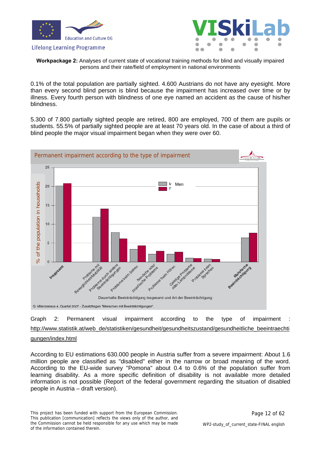



**Workpackage 2:** Analyses of current state of vocational training methods for blind and visually impaired persons and their rate/field of employment in national environments

0.1% of the total population are partially sighted. 4.600 Austrians do not have any eyesight. More than every second blind person is blind because the impairment has increased over time or by illness. Every fourth person with blindness of one eye named an accident as the cause of his/her blindness.

5.300 of 7.800 partially sighted people are retired, 800 are employed, 700 of them are pupils or students. 55.5% of partially sighted people are at least 70 years old. In the case of about a third of blind people the major visual impairment began when they were over 60.



Graph 2: Permanent visual impairment according to the type of impairment : [http://www.statistik.at/web\\_de/statistiken/gesundheit/gesundheitszustand/gesundheitliche\\_beeintraechti](http://www.statistik.at/web_de/statistiken/gesundheit/gesundheitszustand/gesundheitliche_beeintraechtigungen/index.html) [gungen/index.html](http://www.statistik.at/web_de/statistiken/gesundheit/gesundheitszustand/gesundheitliche_beeintraechtigungen/index.html)

According to EU estimations 630.000 people in Austria suffer from a severe impairment: About 1.6 million people are classified as "disabled" either in the narrow or broad meaning of the word. According to the EU-wide survey "Pomona" about 0.4 to 0.6% of the population suffer from learning disability. As a more specific definition of disability is not available more detailed information is not possible (Report of the federal government regarding the situation of disabled people in Austria – draft version).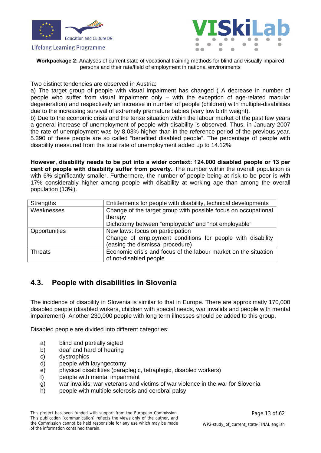



**Workpackage 2:** Analyses of current state of vocational training methods for blind and visually impaired persons and their rate/field of employment in national environments

Two distinct tendencies are observed in Austria:

a) The target group of people with visual impairment has changed ( A decrease in number of people who suffer from visual impairment only – with the exception of age-related macular degeneration) and respectively an increase in number of people (children) with multiple-disabilities due to the increasing survival of extremely premature babies (very low birth weight).

b) Due to the economic crisis and the tense situation within the labour market of the past few years a general increase of unemployment of people with disability is observed. Thus, in January 2007 the rate of unemployment was by 8.03% higher than in the reference period of the previous year. 5.390 of these people are so called "benefited disabled people". The percentage of people with disability measured from the total rate of unemployment added up to 14.12%.

**However, disability needs to be put into a wider context: 124.000 disabled people or 13 per cent of people with disability suffer from poverty.** The number within the overall population is with 6% significantly smaller. Furthermore, the number of people being at risk to be poor is with 17% considerably higher among people with disability at working age than among the overall population (13%).

| <b>Strengths</b> | Entitlements for people with disability, technical developments |
|------------------|-----------------------------------------------------------------|
| Weaknesses       | Change of the target group with possible focus on occupational  |
|                  | therapy                                                         |
|                  | Dichotomy between "employable" and "not employable"             |
| Opportunities    | New laws: focus on participation                                |
|                  | Change of employment conditions for people with disability      |
|                  | (easing the dismissal procedure)                                |
| <b>Threats</b>   | Economic crisis and focus of the labour market on the situation |
|                  | of not-disabled people                                          |

### <span id="page-12-0"></span>**4.3. People with disabilities in Slovenia**

The incidence of disability in Slovenia is similar to that in Europe. There are approximatly 170,000 disabled people (disabled wokers, children with special needs, war invalids and people with mental impairement). Another 230,000 people with long term illnesses should be added to this group.

Disabled people are divided into different categories:

- a) blind and partially sigted
- b) deaf and hard of hearing
- c) dystrophics
- d) people with laryngectomy
- e) physical disabilities (paraplegic, tetraplegic, disabled workers)
- f) people with mental impairment
- g) war invalids, war veterans and victims of war violence in the war for Slovenia
- h) people with multiple sclerosis and cerebral palsy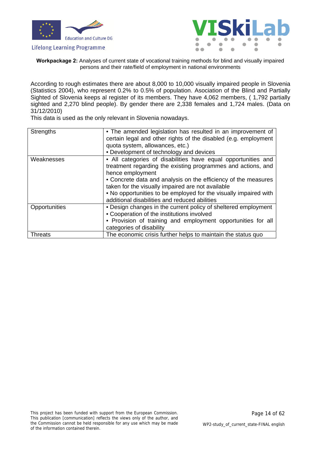



**Workpackage 2:** Analyses of current state of vocational training methods for blind and visually impaired persons and their rate/field of employment in national environments

According to rough estimates there are about 8,000 to 10,000 visually impaired people in Slovenia (Statistics 2004), who represent 0.2% to 0.5% of population. Asociation of the Blind and Partially Sighted of Slovenia keeps al register of its members. They have 4,062 members, ( 1,792 partially sighted and 2,270 blind people). By gender there are 2,338 females and 1,724 males. (Data on 31/12/2010)

This data is used as the only relevant in Slovenia nowadays.

| <b>Strengths</b> | • The amended legislation has resulted in an improvement of<br>certain legal and other rights of the disabled (e.g. employment                                                                                                           |
|------------------|------------------------------------------------------------------------------------------------------------------------------------------------------------------------------------------------------------------------------------------|
|                  | quota system, allowances, etc.)                                                                                                                                                                                                          |
|                  | • Development of technology and devices                                                                                                                                                                                                  |
| Weaknesses       | • All categories of disabilities have equal opportunities and<br>treatment regarding the existing programmes and actions, and<br>hence employment                                                                                        |
|                  | • Concrete data and analysis on the efficiency of the measures<br>taken for the visually impaired are not available<br>. No opportunities to be employed for the visually impaired with<br>additional disabilities and reduced abilities |
| Opportunities    | • Design changes in the current policy of sheltered employment<br>• Cooperation of the institutions involved<br>• Provision of training and employment opportunities for all<br>categories of disability                                 |
| <b>Threats</b>   | The economic crisis further helps to maintain the status quo                                                                                                                                                                             |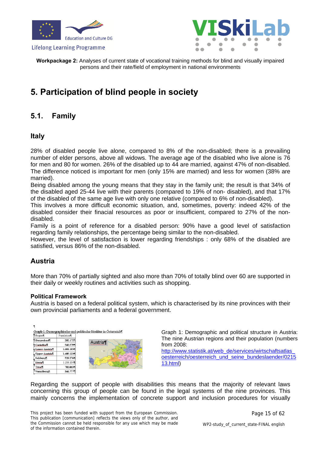





**Workpackage 2:** Analyses of current state of vocational training methods for blind and visually impaired persons and their rate/field of employment in national environments

### <span id="page-14-0"></span>**5. Participation of blind people in society**

### <span id="page-14-1"></span>**5.1. Family**

### **Italy**

28% of disabled people live alone, compared to 8% of the non-disabled; there is a prevailing number of elder persons, above all widows. The average age of the disabled who live alone is 76 for men and 80 for women. 26% of the disabled up to 44 are married, against 47% of non-disabled. The difference noticed is important for men (only 15% are married) and less for women (38% are married).

Being disabled among the young means that they stay in the family unit; the result is that 34% of the disabled aged 25-44 live with their parents (compared to 19% of non- disabled), and that 17% of the disabled of the same age live with only one relative (compared to 6% of non-disabled).

This involves a more difficult economic situation, and, sometimes, poverty: indeed 42% of the disabled consider their finacial resources as poor or insufficient, compared to 27% of the nondisabled.

Family is a point of reference for a disabled person: 90% have a good level of satisfaction regarding family relationships, the percentage being similar to the non-disabled.

However, the level of satisfaction is lower regarding friendships : only 68% of the disabled are satisfied, versus 86% of the non-disabled.

### **Austria**

More than 70% of partially sighted and also more than 70% of totally blind over 60 are supported in their daily or weekly routines and activities such as shopping.

#### **Political Framework**

Austria is based on a federal political system, which is characterised by its nine provinces with their own provincial parliaments and a federal government.

|                            |            | Graph 1: Demographische und politische Struktur in Österreich¶ |
|----------------------------|------------|----------------------------------------------------------------|
| <b>I</b> Region            | Population |                                                                |
| Burgenland                 | 282.1721   |                                                                |
| Carinthia <sup></sup>      | 560.5791   | Austria                                                        |
| Lower Austria <sup>l</sup> | 1.601.183¶ | Munich                                                         |
| <b>Upper Austrial</b>      | 1.409.123¶ |                                                                |
| Salzburg                   | 528.2761   |                                                                |
| <b>Styria</b> <sup>T</sup> | 1.206.2061 |                                                                |
| TyraN                      | 702.0631   |                                                                |
| Vorarlberg¶                | 366,777    |                                                                |

Graph 1: Demographic and political structure in Austria: The nine Austrian regions and their population (numbers from 2008:

[http://www.statistik.at/web\\_de/services/wirtschaftsatlas\\_](http://www.statistik.at/web_de/services/wirtschaftsatlas_oesterreich/oesterreich_und_seine_bundeslaender/021513.html) [oesterreich/oesterreich\\_und\\_seine\\_bundeslaender/0215](http://www.statistik.at/web_de/services/wirtschaftsatlas_oesterreich/oesterreich_und_seine_bundeslaender/021513.html) [13.html](http://www.statistik.at/web_de/services/wirtschaftsatlas_oesterreich/oesterreich_und_seine_bundeslaender/021513.html))

Regarding the support of people with disabilities this means that the majority of relevant laws concerning this group of people can be found in the legal systems of the nine provinces. This mainly concerns the implementation of concrete support and inclusion procedures for visually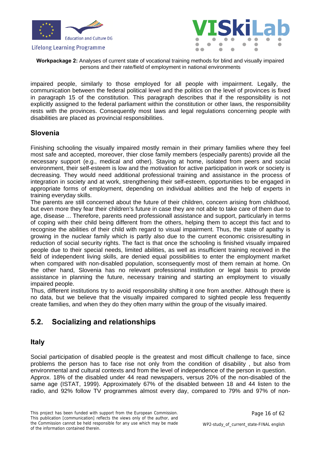



**Workpackage 2:** Analyses of current state of vocational training methods for blind and visually impaired persons and their rate/field of employment in national environments

impaired people, similarly to those employed for all people with impairment. Legally, the communication between the federal political level and the politics on the level of provinces is fixed in paragraph 15 of the constitution. This paragraph describes that if the responsibility is not explicitly assigned to the federal parliament within the constitution or other laws, the responsibility rests with the provinces. Consequently most laws and legal regulations concerning people with disabilities are placed as provincial responsibilities.

### **Slovenia**

Finishing schooling the visually impaired mostly remain in their primary families where they feel most safe and accepted, moreover, thier close family members (especially parents) provide all the necessary support (e.g., medical and other). Staying at home, isolated from peers and social environment, their self-esteem is low and the motivation for active participation in work or society is decreasing. They would need additional professional training and assistance in the process of integration in society and at work, strengthening their self-esteem, opportunities to be engaged in appropriate forms of employment, depending on individual abilities and the help of experts in training everyday skills.

The parents are still concerned about the future of their children, concern arising from childhood, but even more they fear their children's future in case they are not able to take care of them due to age, disease ... Therefore, parents need professionall assistance and support, particularly in terms of coping with their child being different from the others, helping them to accept this fact and to recognise the abilities of their child with regard to visual impairment. Thus, the state of apathy is growing in the nuclear family which is partly also due to the current economic crisisresulting in reduction of social security rights. The fact is that once the schooling is finished visually impaired people due to their special needs, limited abilities, as well as insufficient training received in the field of independent living skills, are denied equal possibilities to enter the employment market when compared with non-disabled population, sconsequently most of them remain at home. On the other hand, Slovenia has no relevant professional institution or legal basis to provide assistance in planning the future, necessary training and starting an employment to visually impaired people.

Thus, different institutions try to avoid responsibility shifting it one from another. Although there is no data, but we believe that the visually impaired compared to sighted people less frequently create families, and when they do they often marry within the group of the visually imaired.

### <span id="page-15-0"></span>**5.2. Socializing and relationships**

### **Italy**

Social participation of disabled people is the greatest and most difficult challenge to face, since problems the person has to face rise not only from the condition of disability , but also from environmental and cultural contexts and from the level of independence of the person in question. Approx. 18% of the disabled under 44 read newspapers, versus 20% of the non-disabled of the same age (ISTAT, 1999). Approximately 67% of the disabled between 18 and 44 listen to the radio, and 92% follow TV programmes almost every day, compared to 79% and 97% of non-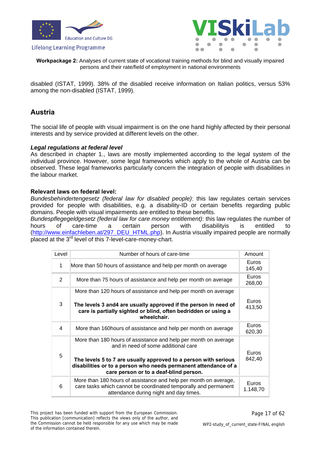



**Workpackage 2:** Analyses of current state of vocational training methods for blind and visually impaired persons and their rate/field of employment in national environments

disabled (ISTAT, 1999). 38% of the disabled receive information on Italian politics, versus 53% among the non-disabled (ISTAT, 1999).

### **Austria**

The social life of people with visual impairment is on the one hand highly affected by their personal interests and by service provided at different levels on the other.

#### *Legal regulations at federal level*

As described in chapter 1., laws are mostly implemented according to the legal system of the individual province. However, some legal frameworks which apply to the whole of Austria can be observed. These legal frameworks particularly concern the integration of people with disabilities in the labour market.

#### **Relevant laws on federal level:**

*Bundesbehindertengesetz (federal law for disabled people)*: this law regulates certain services provided for people with disabilities, e.g. a disability-ID or certain benefits regarding public domains. People with visual impairments are entitled to these benefits.

*Bundespflegegeldgesetz (federal law for care money entitlement)*: this law regulates the number of hours of care-time a certain person with disabilityis is entitled to [\(http://www.einfachleben.at/297\\_DEU\\_HTML.php\)](http://www.einfachleben.at/297_DEU_HTML.php). In Austria visually impaired people are normally placed at the 3rd level of this 7-level-care-money-chart.

| Level | Number of hours of care-time                                                                                                                                                                                                                                                           | Amount            |
|-------|----------------------------------------------------------------------------------------------------------------------------------------------------------------------------------------------------------------------------------------------------------------------------------------|-------------------|
| 1     | More than 50 hours of assistance and help per month on average                                                                                                                                                                                                                         | Euros<br>145,40   |
| 2     | More than 75 hours of assistance and help per month on average                                                                                                                                                                                                                         | Euros<br>268,00   |
| 3     | More than 120 hours of assistance and help per month on average<br>The levels 3 and4 are usually approved if the person in need of<br>care is partially sighted or blind, often bedridden or using a<br>wheelchair.                                                                    | Euros<br>413,50   |
| 4     | More than 160 hours of assistance and help per month on average                                                                                                                                                                                                                        | Euros<br>620,30   |
| 5     | More than 180 hours of assistance and help per month on average<br>and in need of some additional care<br>The levels 5 to 7 are usually approved to a person with serious<br>disabilities or to a person who needs permanent attendance of a<br>care person or to a deaf-blind person. | Euros<br>842,40   |
| 6     | More than 180 hours of assistance and help per month on average,<br>care tasks which cannot be coordinated temporally and permanent<br>attendance during night and day times.                                                                                                          | Euros<br>1.148,70 |

This project has been funded with support from the European Commission. This publication [communication] reflects the views only of the author, and the Commission cannot be held responsible for any use which may be made of the information contained therein.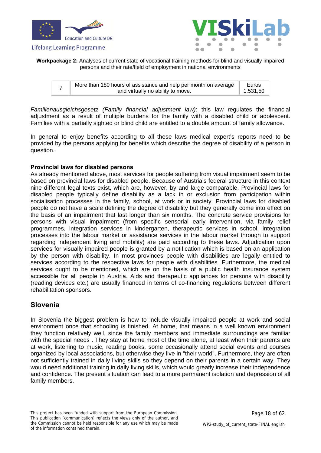



**Workpackage 2:** Analyses of current state of vocational training methods for blind and visually impaired persons and their rate/field of employment in national environments

|  | More than 180 hours of assistance and help per month on average |          |
|--|-----------------------------------------------------------------|----------|
|  | and virtually no ability to move.                               | 1.531,50 |

*Familienausgleichsgesetz (Family financial adjustment law)*: this law regulates the financial adjustment as a result of multiple burdens for the family with a disabled child or adolescent. Families with a partially sighted or blind child are entitled to a double amount of family allowance.

In general to enjoy benefits according to all these laws medical expert's reports need to be provided by the persons applying for benefits which describe the degree of disability of a person in question.

#### **Provincial laws for disabled persons**

As already mentioned above, most services for people suffering from visual impairment seem to be based on provincial laws for disabled people. Because of Austria's federal structure in this context nine different legal texts exist, which are, however, by and large comparable. Provincial laws for disabled people typically define disability as a lack in or exclusion from participation within socialisation processes in the family, school, at work or in society. Provincial laws for disabled people do not have a scale defining the degree of disability but they generally come into effect on the basis of an impairment that last longer than six months. The concrete service provisions for persons with visual impairment (from specific sensorial early intervention, via family relief programmes, integration services in kindergarten, therapeutic services in school, integration processes into the labour market or assistance services in the labour market through to support regarding independent living and mobility) are paid according to these laws. Adjudication upon services for visually impaired people is granted by a notification which is based on an application by the person with disability. In most provinces people with disabilities are legally entitled to services according to the respective laws for people with disabilities. Furthermore, the medical services ought to be mentioned, which are on the basis of a public health insurance system accessible for all people in Austria. Aids and therapeutic appliances for persons with disability (reading devices etc.) are usually financed in terms of co-financing regulations between different rehabilitation sponsors.

#### **Slovenia**

In Slovenia the biggest problem is how to include visually impaired people at work and social environment once that schooling is finished. At home, that means in a well known environment they function relatively well, since the family members and immediate surroundings are familiar with the special needs . They stay at home most of the time alone, at least when their parents are at work, listening to music, reading books, some occasionally attend social events and courses organized by local associations, but otherwise they live in "their world". Furthermore, they are often not sufficiently trained in daily living skills so they depend on their parents in a certain way. They would need additional training in daily living skills, which would greatly increase their independence and confidence. The present situation can lead to a more permanent isolation and depression of all family members.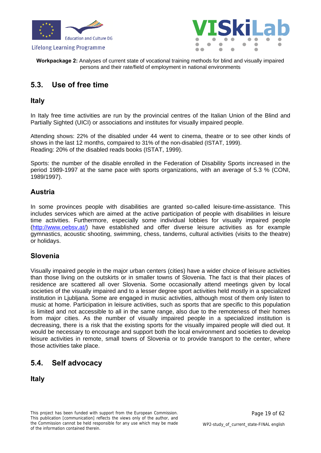



**Workpackage 2:** Analyses of current state of vocational training methods for blind and visually impaired persons and their rate/field of employment in national environments

### <span id="page-18-0"></span>**5.3. Use of free time**

### **Italy**

In Italy free time activities are run by the provincial centres of the Italian Union of the Blind and Partially Sighted (UICI) or associations and institutes for visually impaired people.

Attending shows: 22% of the disabled under 44 went to cinema, theatre or to see other kinds of shows in the last 12 months, compaired to 31% of the non-disabled (ISTAT, 1999). Reading: 20% of the disabled reads books (ISTAT, 1999).

Sports: the number of the disable enrolled in the Federation of Disability Sports increased in the period 1989-1997 at the same pace with sports organizations, with an average of 5.3 % (CONI, 1989/1997).

### **Austria**

In some provinces people with disabilities are granted so-called leisure-time-assistance. This includes services which are aimed at the active participation of people with disabilities in leisure time activities. Furthermore, especially some individual lobbies for visually impaired people [\(http://www.oebsv.at/](http://www.oebsv.at/)) have established and offer diverse leisure activities as for example gymnastics, acoustic shooting, swimming, chess, tandems, cultural activities (visits to the theatre) or holidays.

### **Slovenia**

Visually impaired people in the major urban centers (cities) have a wider choice of leisure activities than those living on the outskirts or in smaller towns of Slovenia. The fact is that their places of residence are scattered all over Slovenia. Some occasionally attend meetings given by local societies of the visually impaired and to a lesser degree sport activities held mostly in a specialized institution in Ljubljana. Some are engaged in music activities, although most of them only listen to music at home. Participation in leisure activities, such as sports that are specific to this population is limited and not accessible to all in the same range, also due to the remoteness of their homes from major cities. As the number of visually impaired people in a specialized institution is decreasing, there is a risk that the existing sports for the visually impaired people will died out. It would be necessary to encourage and support both the local environment and societies to develop leisure activities in remote, small towns of Slovenia or to provide transport to the center, where those activities take place.

### <span id="page-18-1"></span>**5.4. Self advocacy**

**Italy**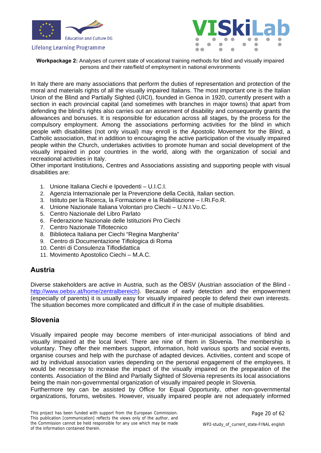



**Workpackage 2:** Analyses of current state of vocational training methods for blind and visually impaired persons and their rate/field of employment in national environments

In Italy there are many associations that perform the duties of representation and protection of the moral and materials rights of all the visually impaired Italians. The most important one is the Italian Union of the Blind and Partially Sighted (UICI), founded in Genoa in 1920, currently present with a section in each provincial capital (and sometimes with branches in major towns) that apart from defending the blind's rights also carries out an assesment of disability and consequently grants the allowances and bonuses. It is responsible for education across all stages, by the process for the compulsory employment. Among the associations performing activities for the blind in which people with disabilities (not only visual) may enroll is the Apostolic Movement for the Blind, a Catholic association, that in addition to encouraging the active participation of the visually impaired people within the Church, undertakes activities to promote human and social development of the visually impaired in poor countries in the world, along with the organization of social and recreational activities in Italy.

Other important Institutions, Centres and Associations assisting and supporting people with visual disabilities are:

- 1. Unione Italiana Ciechi e Ipovedenti U.I.C.I.
- 2. Agenzia Internazionale per la Prevenzione della Cecità, Italian section.
- 3. Istituto per la Ricerca, la Formazione e la Riabilitazione I.Ri.Fo.R.
- 4. Unione Nazionale Italiana Volontari pro Ciechi U.N.I.Vo.C.
- 5. Centro Nazionale del Libro Parlato
- 6. Federazione Nazionale delle Istituzioni Pro Ciechi
- 7. Centro Nazionale Tiflotecnico
- 8. Biblioteca Italiana per Ciechi "Regina Margherita"
- 9. Centro di Documentazione Tiflologica di Roma
- 10. Centri di Consulenza Tiflodidattica
- 11. Movimento Apostolico Ciechi M.A.C.

### **Austria**

Diverse stakeholders are active in Austria, such as the ÖBSV (Austrian association of the Blind <http://www.oebsv.at/home/zentralbereich>). Because of early detection and the empowerment (especially of parents) it is usually easy for visually impaired people to defend their own interests. The situation becomes more complicated and difficult if in the case of multiple disabilities.

### **Slovenia**

Visually impaired people may become members of inter-municipal associations of blind and visually impaired at the local level. There are nine of them in Slovenia. The membership is voluntary. They offer their members support, information, hold various sports and social events, organise courses and help with the purchase of adapted devices. Activities, content and scope of aid by individual association varies depending on the personal engagement of the employees. It would be necessary to increase the impact of the visually impaired on the preparation of the contents. Association of the Blind and Partially Sighted of Slovenia represents its local associations being the main non-governmental organization of visually impaired people in Slovenia.

Furthermore tey can be assisted by Office for Equal Opportunity, other non-governmental organizations, forums, websites. However, visually impaired people are not adequately informed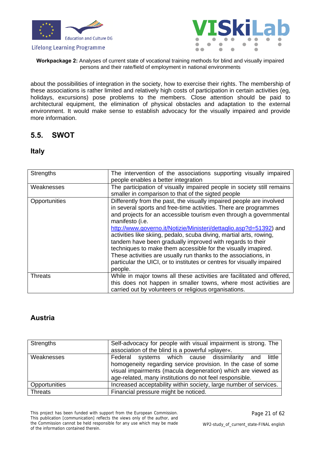



**Workpackage 2:** Analyses of current state of vocational training methods for blind and visually impaired persons and their rate/field of employment in national environments

about the possibilities of integration in the society, how to exercise their rights. The membership of these associations is rather limited and relatively high costs of participation in certain activities (eg, holidays, excursions) pose problems to the members. Close attention should be paid to architectural equipment, the elimination of physical obstacles and adaptation to the external environment. It would make sense to establish advocacy for the visually impaired and provide more information.

### <span id="page-20-0"></span>**5.5. SWOT**

### **Italy**

| <b>Strengths</b> | The intervention of the associations supporting visually impaired<br>people enables a better integration                                                                                                                                                                                                                                                                                                                                                                                                                                                                                                                                                             |
|------------------|----------------------------------------------------------------------------------------------------------------------------------------------------------------------------------------------------------------------------------------------------------------------------------------------------------------------------------------------------------------------------------------------------------------------------------------------------------------------------------------------------------------------------------------------------------------------------------------------------------------------------------------------------------------------|
| Weaknesses       | The participation of visually impaired people in society still remains<br>smaller in comparison to that of the sigted people                                                                                                                                                                                                                                                                                                                                                                                                                                                                                                                                         |
| Opportunities    | Differently from the past, the visually impaired people are involved<br>in several sports and free-time activities. There are programmes<br>and projects for an accessible tourism even through a governmental<br>manifesto (i.e.<br>http://www.governo.it/Notizie/Ministeri/dettaglio.asp?d=51392) and<br>activities like skiing, pedalo, scuba diving, martial arts, rowing,<br>tandem have been gradually improved with regards to their<br>techniques to make them accessible for the visually imapired.<br>These activities are usually run thanks to the associations, in<br>particular the UICI, or to institutes or centres for visually impaired<br>people. |
| <b>Threats</b>   | While in major towns all these activities are facilitated and offered,<br>this does not happen in smaller towns, where most activities are<br>carried out by volunteers or religious organisations.                                                                                                                                                                                                                                                                                                                                                                                                                                                                  |

### **Austria**

| Strengths      | Self-advocacy for people with visual impairment is strong. The<br>association of the blind is a powerful »player«.                                                                                                                                 |
|----------------|----------------------------------------------------------------------------------------------------------------------------------------------------------------------------------------------------------------------------------------------------|
| Weaknesses     | Federal systems which cause dissimilarity and<br>little<br>homogeneity regarding service provision. In the case of some<br>visual impairments (macula degeneration) which are viewed as<br>age-related, many institutions do not feel responsible. |
| Opportunities  | Increased acceptability within society, large number of services.                                                                                                                                                                                  |
| <b>Threats</b> | Financial pressure might be noticed.                                                                                                                                                                                                               |

This project has been funded with support from the European Commission. This publication [communication] reflects the views only of the author, and the Commission cannot be held responsible for any use which may be made of the information contained therein.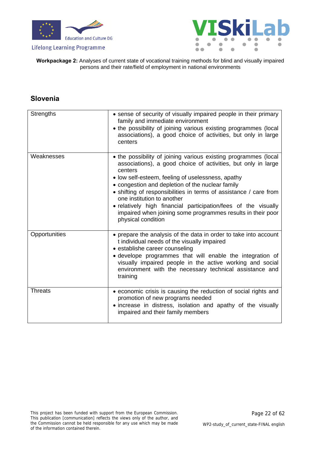



**Workpackage 2:** Analyses of current state of vocational training methods for blind and visually impaired persons and their rate/field of employment in national environments

### **Slovenia**

| <b>Strengths</b> | • sense of security of visually impaired people in their primary<br>family and immediate environment<br>• the possibility of joining various existing programmes (local<br>associations), a good choice of activities, but only in large<br>centers                                                                                                                                                                                                                                                            |
|------------------|----------------------------------------------------------------------------------------------------------------------------------------------------------------------------------------------------------------------------------------------------------------------------------------------------------------------------------------------------------------------------------------------------------------------------------------------------------------------------------------------------------------|
| Weaknesses       | • the possibility of joining various existing programmes (local<br>associations), a good choice of activities, but only in large<br>centers<br>• low self-esteem, feeling of uselessness, apathy<br>• congestion and depletion of the nuclear family<br>• shifting of responsibilities in terms of assistance / care from<br>one institution to another<br>• relatively high financial participation/fees of the visually<br>impaired when joining some programmes results in their poor<br>physical condition |
| Opportunities    | • prepare the analysis of the data in order to take into account<br>t individual needs of the visually impaired<br>• establishe career counseling<br>• develope programmes that will enable the integration of<br>visually impaired people in the active working and social<br>environment with the necessary technical assistance and<br>training                                                                                                                                                             |
| <b>Threats</b>   | • economic crisis is causing the reduction of social rights and<br>promotion of new programs needed<br>• increase in distress, isolation and apathy of the visually<br>impaired and their family members                                                                                                                                                                                                                                                                                                       |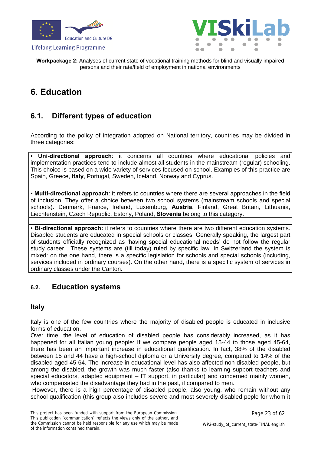





**Workpackage 2:** Analyses of current state of vocational training methods for blind and visually impaired persons and their rate/field of employment in national environments

### <span id="page-22-0"></span>**6. Education**

### <span id="page-22-1"></span>**6.1. Different types of education**

According to the policy of integration adopted on National territory, countries may be divided in three categories:

• **Uni-directional approach**: it concerns all countries where educational policies and implementation practices tend to include almost all students in the mainstream (regular) schooling. This choice is based on a wide variety of services focused on school. Examples of this practice are Spain, Greece, **Italy**, Portugal, Sweden, Iceland, Norway and Cyprus.

• **Multi-directional approach**: it refers to countries where there are several approaches in the field of inclusion. They offer a choice between two school systems (mainstream schools and special schools). Denmark, France, Ireland, Luxemburg, **Austria**, Finland, Great Britain, Lithuania, Liechtenstein, Czech Republic, Estony, Poland, **Slovenia** belong to this category.

• **Bi-directional approach:** it refers to countries where there are two different education systems. Disabled students are educated in special schools or classes. Generally speaking, the largest part of students officially recognized as 'having special educational needs' do not follow the regular study career . These systems are (till today) ruled by specific law. In Switzerland the system is mixed: on the one hand, there is a specific legislation for schools and special schools (including, services included in ordinary courses). On the other hand, there is a specific system of services in ordinary classes under the Canton.

### <span id="page-22-2"></span>**6.2. Education systems**

### **Italy**

Italy is one of the few countries where the majority of disabled people is educated in inclusive forms of education.

Over time, the level of education of disabled people has considerably increased, as it has happened for all Italian young people: If we compare people aged 15-44 to those aged 45-64, there has been an important increase in educational qualification. In fact, 38% of the disabled between 15 and 44 have a high-school diploma or a University degree, compared to 14% of the disabled aged 45-64. The increase in educational level has also affected non-disabled people, but among the disabled, the growth was much faster (also thanks to learning support teachers and special educators, adapted equipment – IT support, in particular) and concerned mainly women, who compensated the disadvantage they had in the past, if compared to men.

 However, there is a high percentage of disabled people, also young, who remain without any school qualification (this group also includes severe and most severely disabled peple for whom it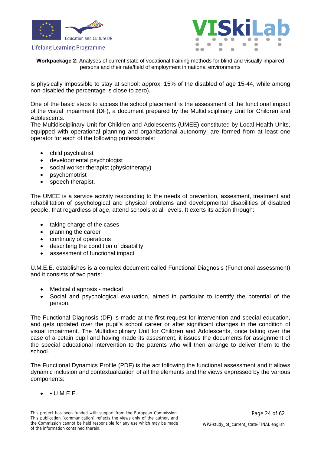



**Workpackage 2:** Analyses of current state of vocational training methods for blind and visually impaired persons and their rate/field of employment in national environments

is physically impossible to stay at school: approx. 15% of the disabled of age 15-44, while among non-disabled the percentage is close to zero).

One of the basic steps to access the school placement is the assessment of the functional impact of the visual impairment (DF), a document prepared by the Multidisciplinary Unit for Children and Adolescents.

The Multidisciplinary Unit for Children and Adolescents (UMEE) constituted by Local Health Units, equipped with operational planning and organizational autonomy, are formed from at least one operator for each of the following professionals:

- child psychiatrist
- developmental psychologist
- social worker therapist (physiotherapy)
- psychomotrist
- speech therapist.

The UMEE is a service activity responding to the needs of prevention, assesment, treatment and rehabilitation of psychological and physical problems and developmental disabilities of disabled people, that regardless of age, attend schools at all levels. It exerts its action through:

- taking charge of the cases
- planning the career
- continuity of operations
- describing the condition of disability
- assessment of functional impact

U.M.E.E. establishes is a complex document called Functional Diagnosis (Functional assessment) and it consists of two parts:

- Medical diagnosis medical
- Social and psychological evaluation, aimed in particular to identify the potential of the person.

The Functional Diagnosis (DF) is made at the first request for intervention and special education, and gets updated over the pupil's school career or after significant changes in the condition of visual impairment. The Multidisciplinary Unit for Children and Adolescents, once taking over the case of a cetain pupil and having made its assesment, it issues the documents for assignment of the special educational intervention to the parents who will then arrange to deliver them to the school.

The Functional Dynamics Profile (PDF) is the act following the functional assessment and it allows dynamic inclusion and contextualization of all the elements and the views expressed by the various components:

 $\bullet$  U.M.E.E.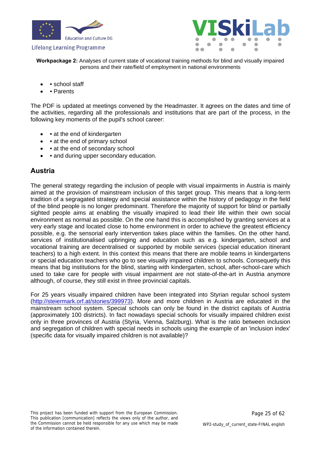



**Workpackage 2:** Analyses of current state of vocational training methods for blind and visually impaired persons and their rate/field of employment in national environments

- school staff
- Parents

The PDF is updated at meetings convened by the Headmaster. It agrees on the dates and time of the activities, regarding all the professionals and institutions that are part of the process, in the following key moments of the pupil's school career:

- at the end of kindergarten
- • at the end of primary school
- • at the end of secondary school
- and during upper secondary education.

### **Austria**

The general strategy regarding the inclusion of people with visual impairments in Austria is mainly aimed at the provision of mainstream inclusion of this target group. This means that a long-term tradition of a segragated strategy and special assistance within the history of pedagogy in the field of the blind people is no longer predominant. Therefore the majority of support for blind or partially sighted people aims at enabling the visually imapired to lead their life within their own social environment as normal as possible. On the one hand this is accomplished by granting services at a very early stage and located close to home environment in order to achieve the greatest efficiency possible, e.g. the sensorial early intervention takes place within the families. On the other hand, services of institutionalised upbringing and education such as e.g. kindergarten, school and vocational training are decentralised or supported by mobile services (special education itinerant teachers) to a high extent. In this context this means that there are mobile teams in kindergartens or special education teachers who go to see visually impaired children to schools. Consequetly this means that big institutions for the blind, starting with kindergarten, school, after-school-care which used to take care for people with visual impairment are not state-of-the-art in Austria anymore although, of course, they still exist in three provincial capitals.

For 25 years visually impaired children have been integrated into Styrian regular school system [\(http://steiermark.orf.at/stories/399973\)](http://steiermark.orf.at/stories/399973). More and more children in Austria are educated in the mainstream school system. Special schools can only be found in the district capitals of Austria (approximately 100 districts). In fact nowadays special schools for visually impaired children exist only in three provinces of Austria (Styria, Vienna, Salzburg). What is the ratio between inclusion and segregation of children with special needs in schools using the example of an 'inclusion index' (specific data for visually impaired children is not available)?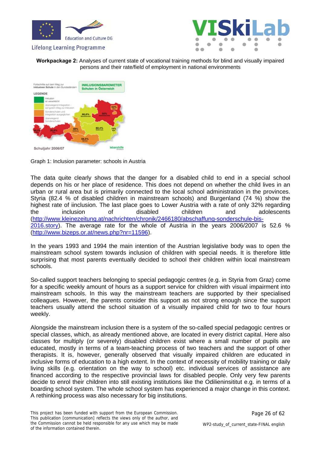



**Workpackage 2:** Analyses of current state of vocational training methods for blind and visually impaired persons and their rate/field of employment in national environments



Graph 1: Inclusion parameter: schools in Austria

The data quite clearly shows that the danger for a disabled child to end in a special school depends on his or her place of residence. This does not depend on whether the child lives in an urban or rural area but is primarily connected to the local school administration in the provinces. Styria (82.4 % of disabled children in mainstream schools) and Burgenland (74 %) show the highest rate of iinclusion. The last place goes to Lower Austria with a rate of only 32% regarding the inclusion of disabled children and adolescents [\(http://www.kleinezeitung.at/nachrichten/chronik/2466180/abschaffung-sonderschule-bis-](http://www.kleinezeitung.at/nachrichten/chronik/2466180/abschaffung-sonderschule-bis-2016.story)[2016.story](http://www.kleinezeitung.at/nachrichten/chronik/2466180/abschaffung-sonderschule-bis-2016.story)). The average rate for the whole of Austria in the years 2006/2007 is 52.6 % [\(http://www.bizeps.or.at/news.php?nr=11596\)](http://www.bizeps.or.at/news.php?nr=11596).

In the years 1993 and 1994 the main intention of the Austrian legislative body was to open the mainstream school system towards inclusion of children with special needs. It is therefore little surprising that most parents eventually decided to school their children within local mainstream schools.

So-called support teachers belonging to special pedagogic centres (e.g. in Styria from Graz) come for a specific weekly amount of hours as a support service for children with visual impairment into mainstream schools. In this way the mainstream teachers are supported by their specialised colleagues. However, the parents consider this support as not strong enough since the support teachers usually attend the school situation of a visually impaired child for two to four hours weekly.

Alongside the mainstream inclusion there is a system of the so-called special pedagogic centres or special classes, which, as already mentioned above, are located in every district capital. Here also classes for multiply (or severely) disabled children exist where a small number of pupils are educated, mostly in terms of a team-teaching process of two teachers and the support of other therapists. It is, however, generally observed that visually impaired children are educated in inclusive forms of education to a high extent. In the context of necessity of mobility training or daily living skills (e.g. orientation on the way to school) etc. individual services of assistance are financed according to the respective provincial laws for disabled people. Only very few parents decide to enrol their children into still existing institutions like the Odilieninsititut e.g. in terms of a boarding school system. The whole school system has experienced a major change in this context. A rethinking process was also necessary for big institutions.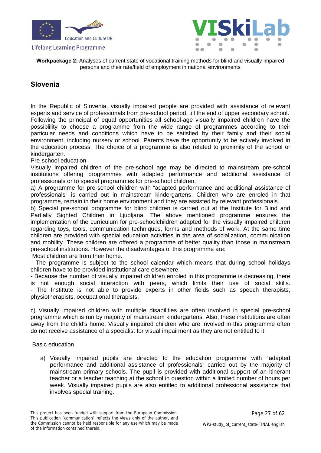



**Workpackage 2:** Analyses of current state of vocational training methods for blind and visually impaired persons and their rate/field of employment in national environments

### **Slovenia**

In the Republic of Slovenia, visually impaired people are provided with assistance of relevant experts and service of professionals from pre-school period, till the end of upper secondary school. Following the principal of equal opportunities all school-age visually impaired children have the possiblility to choose a programme from the wide range of programmes according to their particular needs and conditions which have to be satisfied by their family and their social environment, including nursery or school. Parents have the opportunity to be actively involved in the education process. The choice of a programme is also related to proximity of the school or kindergarten.

#### Pre-school education

Visually impaired children of the pre-school age may be directed to mainstream pre-school institutions offering programmes with adapted performance and additional assistance of professionals or to special programmes for pre-school children.

a) A programme for pre-school children with "adapted performance and additional assistance of professionals" is carried out in mainstream kindergartens. Children who are enroled in that programme, remain in their home environment and they are assisted by relevant professionals.

b) Special pre-school programme for blind children is carried out at the Institute for Blind and Partially Sighted Children in Liubliana. The above mentioned programme ensures the implementation of the curriculum for pre-schoolchildren adapted for the visually impaired children regarding toys, tools, communication techniques, forms and methods of work. At the same time children are provided with special education activities in the area of socialization, communication and mobility. These children are offered a programme of better quality than those in mainstream pre-school institutions. However the disadvantages of this programme are:

Most children are from their home.

- The programme is subject to the school calendar which means that during school holidays children have to be provided institutional care elsewhere.

- Because the number of visually impaired children enroled in this programme is decreasing, there is not enough social interaction with peers, which limits their use of social skills. - The Instittute is not able to provide experts in other fields such as speech therapists, physiotherapists, occupational therapists.

c) Visually impaired children with multiple disabilities are often involved in special pre-school programme which is run by majority of mainstream kindergartens. Also, these institutions are often away from the child's home. Visually impaired children who are involved in this programme often do not receive assistance of a specialist for visual impairment as they are not entitled to it.

#### Basic education

a) Visually impaired pupils are directed to the education programme with "adapted performance and additional assistance of professionals" carried out by the majority of mainstream primary schools. The pupil is provided with additional support of an itinerant teacher or a teacher teaching at the school in question within a limited number of hours per week. Visually impaired pupils are also entitled to additional professional assistance that involves special training.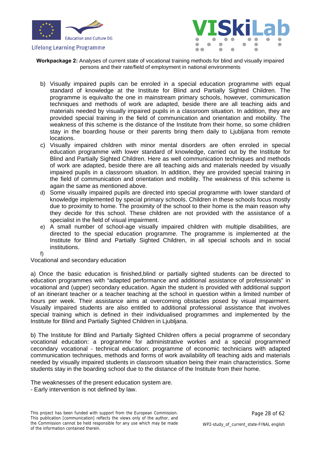



**Workpackage 2:** Analyses of current state of vocational training methods for blind and visually impaired persons and their rate/field of employment in national environments

- b) Visually impaired pupils can be enroled in a special education programme with equal standard of knowledge at the Institute for Blind and Partially Sighted Children. The programme is equivalto the one in mainstream primary schools, however, communication techniques and methods of work are adapted, beside there are all teaching aids and materials needed by visually impaired pupils in a classroom situation. In addition, they are provided special training in the field of communication and orientation and mobility. The weakness of this scheme is the distance of the Institute from their home, so some children stay in the boarding house or their parents bring them daily to Ljubljana from remote locations.
- c) Visually impaired children with minor mental disorders are often enroled in special education programme with lower standard of knowledge, carried out by the Institute for Blind and Partially Sighted Children. Here as well communication techniques and methods of work are adapted, beside there are all teaching aids and materials needed by visually impaired pupils in a classroom situation. In addition, they are provided special training in the field of communication and orientation and mobility. The weakness of this scheme is again the same as mentioned above.
- d) Some visually impaired pupils are directed into special programme with lower standard of knowledge implemented by special primary schools. Children in these schools focus mostly due to proximity to home. The proximity of the school to their home is the main reason why they decide for this school. These children are not provided with the assistance of a specialist in the field of visual impairment.
- e) A small number of school-age visually impaired children with multiple disabilities, are directed to the special education programme. The programme is implemented at the Institute for Blind and Partially Sighted Children, in all special schools and in social institutions.
- f)

Vocational and secondary education

a) Once the basic education is finished,blind or partially sighted students can be directed to education programmes with "adapted performance and additional assistance of professionals" in vocational and (upper) secondary education. Again the student is provided with additional support of an itinerant teacher or a teacher teaching at the school in question within a limited number of hours per week. Their assistance aims at overcoming obstacles posed by visual impairment. Visually impaired students are also entitled to additional professional assistance that involves special training which is defined in their individualised programmes and implemented by the Institute for Blind and Partially Sighted Children in Ljubljana.

b) The Institute for Blind and Partially Sighted Children offers a pecial programme of secondary vocational education: a programme for administrative workes and a special programmeof cecondary vocational - technical education: programme of economic technicians with adapted communication techniques, methods and forms of work availability ofl teaching aids and materials needed by visually impaired students in classroom situation being their main characteristics. Some students stay in the boarding school due to the distance of the Institute from their home.

The weaknesses of the present education system are.

- Early intervention is not defined by law.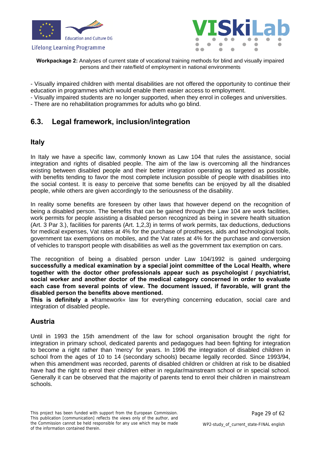





**Workpackage 2:** Analyses of current state of vocational training methods for blind and visually impaired persons and their rate/field of employment in national environments

- Visually impaired children with mental disabilities are not offered the opportunity to continue their education in programmes which would enable them easier access to employment.

- Visually impaired students are no longer supported, when they enrol in colleges and universities.

- There are no rehabilitation programmes for adults who go blind.

### <span id="page-28-0"></span>**6.3. Legal framework, inclusion/integration**

### **Italy**

In Italy we have a specific law, commonly known as Law 104 that rules the assistance, social integration and rights of disabled people. The aim of the law is overcoming all the hindrances existing between disabled people and their better integration operating as targeted as possible, with benefits tending to favor the most complete inclusion possible of people with disabilities into the social contest. It is easy to perceive that some benefits can be enjoyed by all the disabled people, while others are given accordingly to the seriousness of the disability.

In reality some benefits are foreseen by other laws that however depend on the recognition of being a disabled person. The benefits that can be gained through the Law 104 are work facilities, work permits for people assisting a disabled person recognized as being in severe health situation (Art. 3 Par 3.), facilities for parents (Art. 1,2,3) in terms of work permits, tax deductions, deductions for medical expenses, Vat rates at 4% for the purchase of prostheses, aids and technological tools, government tax exemptions on mobiles, and the Vat rates at 4% for the purchase and conversion of vehicles to transport people with disabilities as well as the government tax exemption on cars.

The recognition of being a disabled person under Law 104/1992 is gained undergoing **successfully a medical examination by a special joint committee of the Local Health, where together with the doctor other professionals appear such as psychologist / psychiatrist, social worker and another doctor of the medical category concerned in order to evaluate each case from several points of view. The document issued, if favorable, will grant the disabled person the benefits above mentioned.** 

**This is definitely a »**framework« law for everything concerning education, social care and integration of disabled people**.**

### **Austria**

Until in 1993 the 15th amendment of the law for school organisation brought the right for integration in primary school, dedicated parents and pedagogues had been fighting for integration to become a right rather than 'mercy' for years. In 1996 the integration of disabled children in school from the ages of 10 to 14 (secondary schools) became legally recorded. Since 1993/94, when this amendment was recorded, parents of disabled children or children at risk to be disabled have had the right to enrol their children either in regular/mainstream school or in special school. Generally it can be observed that the majority of parents tend to enrol their children in mainstream schools.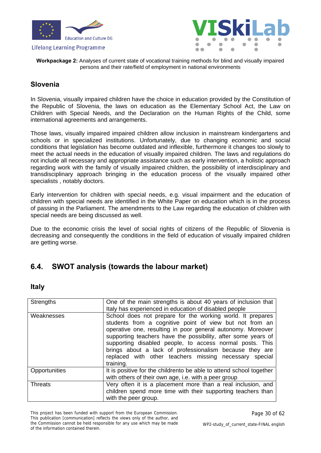



**Workpackage 2:** Analyses of current state of vocational training methods for blind and visually impaired persons and their rate/field of employment in national environments

### **Slovenia**

In Slovenia, visually impaired children have the choice in education provided by the Constitution of the Republic of Slovenia, the laws on education as the Elementary School Act, the Law on Children with Special Needs, and the Declaration on the Human Rights of the Child, some international agreements and arrangements.

Those laws, visually impaired impaired children allow inclusion in mainstream kindergartens and schools or in specialized institutions. Unfortunately, due to changing economic and social conditions that legislation has become outdated and inflexible, furthermore it changes too slowly to meet the actual needs in the education of visually impaired children. The laws and regulations do not include all necessary and appropriate assistance such as early intervention, a holistic approach regarding work with the family of visually impaired children, the possibility of interdisciplinary and transdisciplinary approach bringing in the education process of the visually impaired other specialists , notably doctors.

Early intervention for children with special needs, e.g. visual impairment and the education of children with special needs are identified in the White Paper on education which is in the process of passing in the Parliament. The amendments to the Law regarding the education of children with special needs are being discussed as well.

Due to the economic crisis the level of social rights of citizens of the Republic of Slovenia is decreasing and consequently the conditions in the field of education of visually impaired children are getting worse.

### <span id="page-29-0"></span>**6.4. SWOT analysis (towards the labour market)**

#### **Italy**

| Strengths      | One of the main strengths is about 40 years of inclusion that<br>Italy has experienced in education of disabled people                                                                                                                                                                                                                                                                                                                              |
|----------------|-----------------------------------------------------------------------------------------------------------------------------------------------------------------------------------------------------------------------------------------------------------------------------------------------------------------------------------------------------------------------------------------------------------------------------------------------------|
| Weaknesses     | School does not prepare for the working world. It prepares<br>students from a cognitive point of view but not from an<br>operative one, resulting in poor general autonomy. Moreover<br>supporting teachers have the possibility, after some years of<br>supporting disabled people, to access normal posts. This<br>brings about a lack of professionalism because they are<br>replaced with other teachers missing necessary special<br>training. |
| Opportunities  | It is positive for the childrento be able to attend school together<br>with others of their own age, i.e. with a peer group                                                                                                                                                                                                                                                                                                                         |
| <b>Threats</b> | Very often it is a placement more than a real inclusion, and<br>children spend more time with their supporting teachers than<br>with the peer group.                                                                                                                                                                                                                                                                                                |

This project has been funded with support from the European Commission. This publication [communication] reflects the views only of the author, and the Commission cannot be held responsible for any use which may be made of the information contained therein.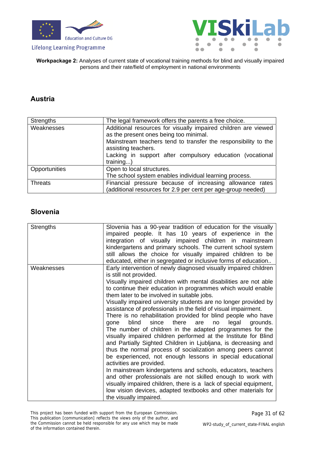



**Workpackage 2:** Analyses of current state of vocational training methods for blind and visually impaired persons and their rate/field of employment in national environments

### **Austria**

| <b>Strengths</b> | The legal framework offers the parents a free choice.                                 |  |  |  |  |  |
|------------------|---------------------------------------------------------------------------------------|--|--|--|--|--|
| Weaknesses       | Additional resources for visually impaired children are viewed                        |  |  |  |  |  |
|                  | as the present ones being too minimal.                                                |  |  |  |  |  |
|                  | Mainstream teachers tend to transfer the responsibility to the<br>assisting teachers. |  |  |  |  |  |
|                  | Lacking in support after compulsory education (vocational                             |  |  |  |  |  |
|                  | $training$ )                                                                          |  |  |  |  |  |
| Opportunities    | Open to local structures.                                                             |  |  |  |  |  |
|                  | The school system enables individual learning process.                                |  |  |  |  |  |
| <b>Threats</b>   | Financial pressure because of increasing allowance rates                              |  |  |  |  |  |
|                  | (additional resources for 2.9 per cent per age-group needed)                          |  |  |  |  |  |

### **Slovenia**

| <b>Strengths</b><br>Slovenia has a 90-year tradition of education for the visually |                                                                   |  |  |  |
|------------------------------------------------------------------------------------|-------------------------------------------------------------------|--|--|--|
|                                                                                    | impaired people. It has 10 years of experience in the             |  |  |  |
|                                                                                    | integration of visually impaired children in mainstream           |  |  |  |
|                                                                                    |                                                                   |  |  |  |
|                                                                                    | kindergartens and primary schools. The current school system      |  |  |  |
|                                                                                    | still allows the choice for visually impaired children to be      |  |  |  |
|                                                                                    | educated, either in segregated or inclusive forms of education    |  |  |  |
| Weaknesses                                                                         | Early intervention of newly diagnosed visually impaired children  |  |  |  |
|                                                                                    | is still not provided.                                            |  |  |  |
|                                                                                    | Visually impaired children with mental disabilities are not able  |  |  |  |
|                                                                                    | to continue their education in programmes which would enable      |  |  |  |
|                                                                                    | them later to be involved in suitable jobs.                       |  |  |  |
|                                                                                    | Visually impaired university students are no longer provided by   |  |  |  |
|                                                                                    | assistance of professionals in the field of visual impairment.    |  |  |  |
|                                                                                    | There is no rehabilitation provided for blind people who have     |  |  |  |
|                                                                                    | blind<br>since<br>there<br>legal<br>grounds.<br>are<br>gone<br>no |  |  |  |
|                                                                                    | The number of children in the adapted programmes for the          |  |  |  |
|                                                                                    | visually impaired children performed at the Institute for Blind   |  |  |  |
|                                                                                    | and Partially Sighted Children in Ljubljana, is decreasing and    |  |  |  |
|                                                                                    |                                                                   |  |  |  |
|                                                                                    | thus the normal process of socialization among peers cannot       |  |  |  |
|                                                                                    | be experienced, not enough lessons in special educational         |  |  |  |
|                                                                                    | activities are provided.                                          |  |  |  |
|                                                                                    | In mainstream kindergartens and schools, educators, teachers      |  |  |  |
|                                                                                    | and other professionals are not skilled enough to work with       |  |  |  |
|                                                                                    | visually impaired children, there is a lack of special equipment, |  |  |  |
|                                                                                    | low vision devices, adapted textbooks and other materials for     |  |  |  |
|                                                                                    | the visually impaired.                                            |  |  |  |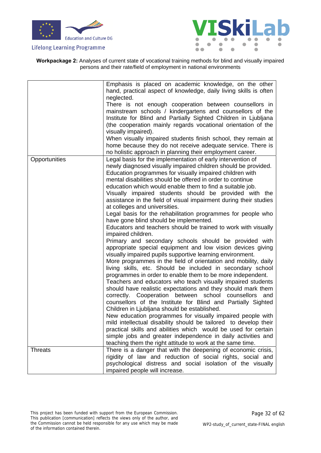



**Workpackage 2:** Analyses of current state of vocational training methods for blind and visually impaired persons and their rate/field of employment in national environments

|                | Emphasis is placed on academic knowledge, on the other<br>hand, practical aspect of knowledge, daily living skills is often<br>neglected.<br>There is not enough cooperation between counsellors in<br>mainstream schools / kindergartens and counsellors of the<br>Institute for Blind and Partially Sighted Children in Ljubljana<br>(the cooperation mainly regards vocational orientation of the<br>visually impaired).<br>When visually impaired students finish school, they remain at<br>home because they do not receive adequate service. There is<br>no holistic approach in planning their employment career.                                                                                                                                                                                                                                                                                                                                                                                                                                                                                                                                                                                                                                                                                                                                                                                                                                                                                                                                                                                                                                                                                                |
|----------------|-------------------------------------------------------------------------------------------------------------------------------------------------------------------------------------------------------------------------------------------------------------------------------------------------------------------------------------------------------------------------------------------------------------------------------------------------------------------------------------------------------------------------------------------------------------------------------------------------------------------------------------------------------------------------------------------------------------------------------------------------------------------------------------------------------------------------------------------------------------------------------------------------------------------------------------------------------------------------------------------------------------------------------------------------------------------------------------------------------------------------------------------------------------------------------------------------------------------------------------------------------------------------------------------------------------------------------------------------------------------------------------------------------------------------------------------------------------------------------------------------------------------------------------------------------------------------------------------------------------------------------------------------------------------------------------------------------------------------|
| Opportunities  | Legal basis for the implementation of early intervention of<br>newly diagnosed visually impaired children should be provided.<br>Education programmes for visually impaired children with<br>mental disabilities should be offered in order to continue<br>education which would enable them to find a suitable job.<br>Visually impaired students should be provided with the<br>assistance in the field of visual impairment during their studies<br>at colleges and universities.<br>Legal basis for the rehabilitation programmes for people who<br>have gone blind should be implemented.<br>Educators and teachers should be trained to work with visually<br>impaired children.<br>Primary and secondary schools should be provided with<br>appropriate special equipment and low vision devices giving<br>visually impaired pupils supportive learning environment.<br>More programmes in the field of orientation and mobility, daily<br>living skills, etc. Should be included in secondary school<br>programmes in order to enable them to be more independent.<br>Teachers and educators who teach visually impaired students<br>should have realistic expectations and they should mark them<br>correctly. Cooperation between school counsellors<br>and<br>counsellors of the Institute for Blind and Partially Sighted<br>Children in Ljubljana should be established.<br>New education programmes for visually impaired people with<br>mild intellectual disability should be tailored to develop their<br>practical skills and abilities which would be used for certain<br>simple jobs and greater independence in daily activities and<br>teaching them the right attitude to work at the same time. |
| <b>Threats</b> | There is a danger that with the deepening of economic crisis,                                                                                                                                                                                                                                                                                                                                                                                                                                                                                                                                                                                                                                                                                                                                                                                                                                                                                                                                                                                                                                                                                                                                                                                                                                                                                                                                                                                                                                                                                                                                                                                                                                                           |
|                | rigidity of law and reduction of social rights, social and<br>psychological distress and social isolation of the visually<br>impaired people will increase.                                                                                                                                                                                                                                                                                                                                                                                                                                                                                                                                                                                                                                                                                                                                                                                                                                                                                                                                                                                                                                                                                                                                                                                                                                                                                                                                                                                                                                                                                                                                                             |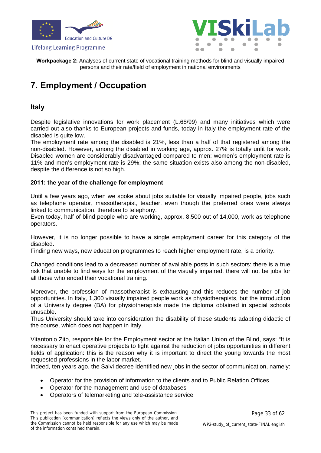



**Workpackage 2:** Analyses of current state of vocational training methods for blind and visually impaired persons and their rate/field of employment in national environments

## <span id="page-32-0"></span>**7. Employment / Occupation**

### **Italy**

Despite legislative innovations for work placement (L.68/99) and many initiatives which were carried out also thanks to European projects and funds, today in Italy the employment rate of the disabled is quite low.

The employment rate among the disabled is 21%, less than a half of that registered among the non-disabled. However, among the disabled in working age, approx. 27% is totally unfit for work. Disabled women are considerably disadvantaged compared to men: women's employment rate is 11% and men's employment rate is 29%; the same situation exists also among the non-disabled, despite the difference is not so high.

#### **2011: the year of the challenge for employment**

Until a few years ago, when we spoke about jobs suitable for visually impaired people, jobs such as telephone operator, massotherapist, teacher, even though the preferred ones were always linked to communication, therefore to telephony.

Even today, half of blind people who are working, approx. 8,500 out of 14,000, work as telephone operators.

However, it is no longer possible to have a single employment career for this category of the disabled.

Finding new ways, new education programmes to reach higher employment rate, is a priority.

Changed conditions lead to a decreased number of available posts in such sectors: there is a true risk that unable to find ways for the employment of the visually impaired, there will not be jobs for all those who ended their vocational training.

Moreover, the profession of massotherapist is exhausting and this reduces the number of job opportunities. In Italy, 1,300 visually impaired people work as physiotherapists, but the introduction of a University degree (BA) for physiotherapists made the diploma obtained in special schools unusable.

Thus University should take into consideration the disability of these students adapting didactic of the course, which does not happen in Italy.

Vitantonio Zito, responsible for the Employment sector at the Italian Union of the Blind, says: "It is necessary to enact operative projects to fight against the reduction of jobs opportunities in different fields of application: this is the reason why it is important to direct the young towards the most requested professions in the labor market.

Indeed, ten years ago, the Salvi decree identified new jobs in the sector of communication, namely:

- Operator for the provision of information to the clients and to Public Relation Offices
- Operator for the management and use of databases
- Operators of telemarketing and tele-assistance service

This project has been funded with support from the European Commission. This publication [communication] reflects the views only of the author, and the Commission cannot be held responsible for any use which may be made of the information contained therein.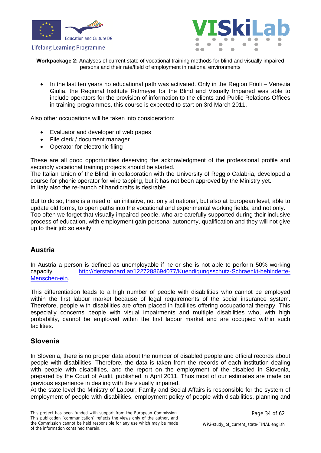



**Workpackage 2:** Analyses of current state of vocational training methods for blind and visually impaired persons and their rate/field of employment in national environments

 In the last ten years no educational path was activated. Only in the Region Friuli – Venezia Giulia, the Regional Institute Rittmeyer for the Blind and Visually Impaired was able to include operators for the provision of information to the clients and Public Relations Offices in training programmes, this course is expected to start on 3rd March 2011.

Also other occupations will be taken into consideration:

- Evaluator and developer of web pages
- File clerk / document manager
- Operator for electronic filing

These are all good opportunities deserving the acknowledgment of the professional profile and secondly vocational training projects should be started.

The Italian Union of the Blind, in collaboration with the University of Reggio Calabria, developed a course for phonic operator for wire tapping, but it has not been approved by the Ministry yet. In Italy also the re-launch of handicrafts is desirable.

But to do so, there is a need of an initiative, not only at national, but also at European level, able to update old forms, to open paths into the vocational and experimental working fields, and not only. Too often we forget that visually impaired people, who are carefully supported during their inclusive process of education, with employment gain personal autonomy, qualification and they will not give up to their job so easily.

### **Austria**

In Austria a person is defined as unemployable if he or she is not able to perform 50% working capacity [http://derstandard.at/1227288694077/Kuendigungsschutz-Schraenkt-behinderte-](http://derstandard.at/1227288694077/Kuendigungsschutz-Schraenkt-behinderte-Menschen-ein)[Menschen-ein.](http://derstandard.at/1227288694077/Kuendigungsschutz-Schraenkt-behinderte-Menschen-ein)

This differentiation leads to a high number of people with disabilities who cannot be employed within the first labour market because of legal requirements of the social insurance system. Therefore, people with disabilities are often placed in facilities offering occupational therapy. This especially concerns people with visual impairments and multiple disabilities who, with high probability, cannot be employed within the first labour market and are occupied within such facilities.

### **Slovenia**

In Slovenia, there is no proper data about the number of disabled people and official records about people with disabilities. Therefore, the data is taken from the records of each institution dealing with people with disabilities, and the report on the employment of the disabled in Slovenia, prepared by the Court of Audit, published in April 2011. Thus most of our estimates are made on previous experience in dealing with the visually impaired.

At the state level the Ministry of Labour, Family and Social Affairs is responsible for the system of employment of people with disabilities, employment policy of people with disabilities, planning and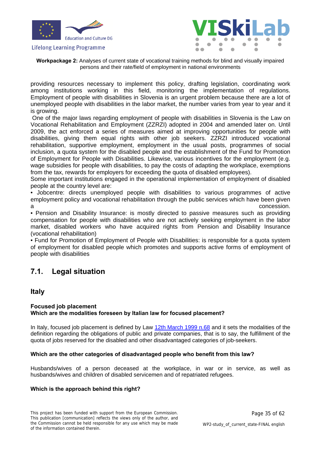



**Workpackage 2:** Analyses of current state of vocational training methods for blind and visually impaired persons and their rate/field of employment in national environments

providing resources necessary to implement this policy, drafting legislation, coordinating work among institutions working in this field, monitoring the implementation of regulations. Employment of people with disabilities in Slovenia is an urgent problem because there are a lot of unemployed people with disabilities in the labor market, the number varies from year to year and it is growing.

 One of the major laws regarding employment of people with disabilities in Slovenia is the Law on Vocational Rehabilitation and Employment (ZZRZI) adopted in 2004 and amended later on. Until 2009, the act enforced a series of measures aimed at improving opportunities for people with disabilities, giving them equal rights with other job seekers. ZZRZI introduced vocational rehabilitation, supportive employment, employment in the usual posts, programmes of social inclusion, a quota system for the disabled people and the establishment of the Fund for Promotion of Employment for People with Disabilities. Likewise, various incentives for the employment (e.g. wage subsidies for people with disabilities, to pay the costs of adapting the workplace, exemptions from the tax, rewards for employers for exceeding the quota of disabled employees).

Some important institutions engaged in the operational implementation of employment of disabled people at the country level are:

• Jobcentre: directs unemployed people with disabilities to various programmes of active employment policy and vocational rehabilitation through the public services which have been given concession.

• Pension and Disability Insurance: is mostly directed to passive measures such as providing compensation for people with disabilities who are not actively seeking employment in the labor market, disabled workers who have acquired rights from Pension and Disability Insurance (vocational rehabilitation)

• Fund for Promotion of Employment of People with Disabilities: is responsible for a quota system of employment for disabled people which promotes and supports active forms of employment of people with disabilities

### <span id="page-34-0"></span>**7.1. Legal situation**

### **Italy**

#### **Focused job placement Which are the modalities foreseen by Italian law for focused placement?**

In Italy, focused job placement is defined by Law [12th March 1999 n.68](http://www.cliclavoro.gov.it/informarmi/cittadino/Collocamentomirato/Documents/Norme%20da%20Leggi%20d%27Italia/L.%2012%20marzo%201999,%20n.%2068.pdf) and it sets the modalities of the definition regarding the obligations of public and private companies, that is to say, the fulfillment of the quota of jobs reserved for the disabled and other disadvantaged categories of job-seekers.

#### **Which are the other categories of disadvantaged people who benefit from this law?**

Husbands/wives of a person deceased at the workplace, in war or in service, as well as husbands/wives and children of disabled servicemen and of repatriated refugees.

#### **Which is the approach behind this right?**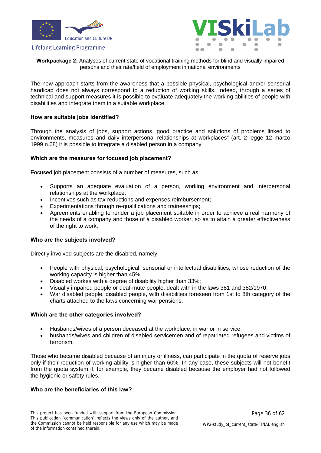



**Workpackage 2:** Analyses of current state of vocational training methods for blind and visually impaired persons and their rate/field of employment in national environments

The new approach starts from the awareness that a possible physical, psychological and/or sensorial handicap does not always correspond to a reduction of working skills. Indeed, through a series of technical and support measures it is possible to evaluate adequately the working abilities of people with disabilities and integrate them in a suitable workplace.

#### **How are suitable jobs identified?**

Through the analysis of jobs, support actions, good practice and solutions of problems linked to environments, measures and daily interpersonal relationships at workplaces" (art. 2 legge 12 marzo 1999 n.68) it is possible to integrate a disabled person in a company.

#### **Which are the measures for focused job placement?**

Focused job placement consists of a number of measures, such as:

- Supports an adequate evaluation of a person, working environment and interpersonal relationships at the workplace;
- Incentives such as tax reductions and expenses reimbursement;
- Experimentations through re-qualifications and traineeships;
- Agreements enabling to render a job placement suitable in order to achieve a real harmony of the needs of a company and those of a disabled worker, so as to attain a greater effectiveness of the right to work.

#### **Who are the subjects involved?**

Directly involved subjects are the disabled, namely:

- People with physical, psychological, sensorial or intellectual disabilities, whose reduction of the working capacity is higher than 45%;
- Disabled workes with a degree of disability higher than 33%;
- Visually impaired people or deaf-mute people, dealt with in the laws 381 and 382/1970;
- War disabled people, disabled people, with disabilities foreseen from 1st to 8th category of the charts attached to the laws concerning war pensions.

#### **Which are the other categories involved?**

- Husbands/wives of a person deceased at the workplace, in war or in service,
- husbands/wives and children of disabled servicemen and of repatriated refugees and victims of terrorism.

Those who became disabled because of an injury or illness, can participate in the quota of reserve jobs only if their reduction of working ability is higher than 60%. In any case, these subjects will not benefit from the quota system if, for example, they became disabled because the employer had not followed the hygienic or safety rules.

#### **Who are the beneficiaries of this law?**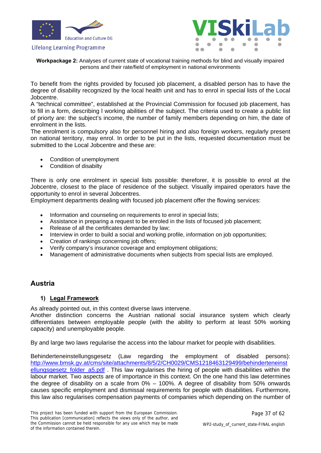



**Workpackage 2:** Analyses of current state of vocational training methods for blind and visually impaired persons and their rate/field of employment in national environments

To benefit from the rights provided by focused job placement, a disabled person has to have the degree of disability recognized by the local health unit and has to enrol in special lists of the Local Jobcentre.

A "technical committee", established at the Provincial Commission for focused job placement, has to fill in a form, describing l working abilities of the subject. The criteria used to create a public list of priorty are: the subject's income, the number of family members depending on him, the date of enrolment in the lists.

The enrolment is compulsory also for personnel hiring and also foreign workers, regularly present on national territory, may enrol. In order to be put in the lists, requested documentation must be submitted to the Local Jobcentre and these are:

- Condition of unemployment
- Condition of disabilty

There is only one enrolment in special lists possible: thereforer, it is possible to enrol at the Jobcentre, closest to the place of residence of the subject. Visually impaired operators have the opportunity to enrol in several Jobcentres.

Employment departments dealing with focused job placement offer the flowing services:

- Information and counseling on requirements to enrol in special lists;
- Assistance in preparing a request to be enroled in the lists of focused job placement;
- Release of all the certificates demanded by law:
- Interview in order to build a social and working profile, information on job opportunities;
- Creation of rankings concerning job offers;
- Verify company's insurance coverage and employment obligations;
- Management of administrative documents when subjects from special lists are employed.

### **Austria**

#### **1) Legal Framework**

As already pointed out, in this context diverse laws intervene.

Another distinction concerns the Austrian national social insurance system which clearly differentiates between employable people (with the ability to perform at least 50% working capacity) and unemployable people.

By and large two laws regularise the access into the labour market for people with disabilities.

Behinderteneinstellungsgesetz (Law regarding the employment of disabled persons): [http://www.bmsk.gv.at/cms/site/attachments/8/5/2/CH0029/CMS1218463129499/behinderteneinst](http://www.bmsk.gv.at/cms/site/attachments/8/5/2/CH0029/CMS1218463129499/behinderteneinstellungsgesetz_folder_a5.pdf) ellungsgesetz folder a5.pdf . This law regularises the hiring of people with disabilities within the labour market. Two aspects are of importance in this context. On the one hand this law determines the degree of disability on a scale from 0% – 100%. A degree of disability from 50% onwards causes specific employment and dismissal requirements for people with disabilities. Furthermore, this law also regularises compensation payments of companies which depending on the number of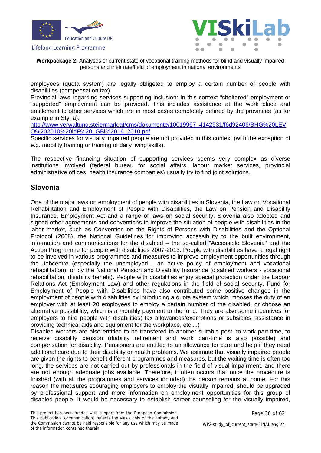



**Workpackage 2:** Analyses of current state of vocational training methods for blind and visually impaired persons and their rate/field of employment in national environments

employees (quota system) are legally obligeted to employ a certain number of people with disabilities (compensation tax).

Provincial laws regarding services supporting inclusion: In this context "sheltered" employment or "supported" employment can be provided. This includes assistance at the work place and entitlement to other services which are in most cases completely defined by the provinces (as for example in Styria):

[http://www.verwaltung.steiermark.at/cms/dokumente/10019967\\_4142531/f6d92406/BHG%20LEV](http://www.verwaltung.steiermark.at/cms/dokumente/10019967_4142531/f6d92406/BHG%20LEVO%202010%20idF%20LGBl%2016_2010.pdf) [O%202010%20idF%20LGBl%2016\\_2010.pdf.](http://www.verwaltung.steiermark.at/cms/dokumente/10019967_4142531/f6d92406/BHG%20LEVO%202010%20idF%20LGBl%2016_2010.pdf)

Specific services for visually impaired people are not provided in this context (with the exception of e.g. mobility training or training of daily living skills).

The respective financing situation of supporting services seems very complex as diverse institutions involved (federal bureau for social affairs, labour market services, provincial administrative offices, health insurance companies) usually try to find joint solutions.

### **Slovenia**

One of the major laws on employment of people with disabilities in Slovenia, the Law on Vocational Rehabilitation and Employment of People with Disabilities, the Law on Pension and Disability Insurance, Employment Act and a range of laws on social security. Slovenia also adopted and signed other agreements and conventions to improve the situation of people with disabilities in the labor market, such as Convention on the Rights of Persons with Disabilities and the Optional Protocol (2008), the National Guidelines for improving accessibility to the built environment, information and communications for the disabled – the so-called "Accessible Slovenia" and the Action Programme for people with disabilities 2007-2013. People with disabilities have a legal right to be involved in various programmes and measures to improve employment opportunities through the Jobcentre (especially the unemployed - an active policy of employment and vocational rehabilitation), or by the National Pension and Disability Insurance (disabled workers - vocational rehabilitation, disability benefit). People with disabilities enjoy special protection under the Labour Relations Act (Employment Law) and other regulations in the field of social security. Fund for Employment of People with Disabilities have also contributed some positive changes in the employment of people with disabilities by introducing a quota system which imposes the duty of an employer with at least 20 employees to employ a certain number of the disabled, or choose an alternative possiblility, which is a monthly payment to the fund. They are also some incentives for employers to hire people with disabilities( tax allowances/exemptions or subsidies, assistance in providing technical aids and equipment for the workplace, etc ...)

Disabled workers are also entitled to be transfered to another suitable post, to work part-time, to receive disability pension (diability retirement and work part-time is also possible) and compensation for disability. Pensioners are entitled to an allowance for care and help if they need additional care due to their disability or health problems. We estimate that visually impaired people are given the rights to benefit different programmes and measures, but the waiting time is often too long, the services are not carried out by professionals in the field of visual impairment, and there are not enough adequate jobs available. Therefore, it often occurs that once the procedure is finished (with all the programmes and services included) the person remains at home. For this reason the measures ecouraging employers to employ the visually impaired, should be upgraded by professional support and more information on employment opportunities for this group of disabled people. It would be necessary to establish career counseling for the visually impaired,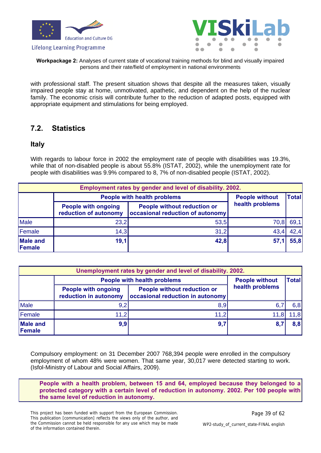





**Workpackage 2:** Analyses of current state of vocational training methods for blind and visually impaired persons and their rate/field of employment in national environments

with professional staff. The present situation shows that despite all the measures taken, visually impaired people stay at home, unmotivated, apathetic, and dependent on the help of the nuclear family. The economic crisis will contribute furher to the reduction of adapted posts, equipped with appropriate equipment and stimulations for being employed.

### <span id="page-38-0"></span>**7.2. Statistics**

### **Italy**

With regards to labour force in 2002 the employment rate of people with disabilities was 19.3%, while that of non-disabled people is about 55.8% (ISTAT, 2002), while the unemployment rate for people with disabilities was 9.9% compared to 8, 7% of non-disabled people (ISTAT, 2002).

|                           | Employment rates by gender and level of disability. 2002. |                                                                        |                 |      |  |  |  |  |
|---------------------------|-----------------------------------------------------------|------------------------------------------------------------------------|-----------------|------|--|--|--|--|
|                           | <b>People with health problems</b>                        | <b>People without</b>                                                  | <b>Total</b>    |      |  |  |  |  |
|                           | <b>People with ongoing</b><br>reduction of autonomy       | <b>People without reduction or</b><br>occasional reduction of autonomy | health problems |      |  |  |  |  |
| <b>Male</b>               | 23,2                                                      | 53,5                                                                   | 70,8            | 69.1 |  |  |  |  |
| Female                    | 14.3                                                      | 31,2                                                                   | 43,4            | 42,4 |  |  |  |  |
| <b>Male and</b><br>Female | 19,1                                                      | 42,8                                                                   | 57,1            | 55,8 |  |  |  |  |

| Unemployment rates by gender and level of disability. 2002. |                                                     |                                                                               |                 |     |  |  |  |  |
|-------------------------------------------------------------|-----------------------------------------------------|-------------------------------------------------------------------------------|-----------------|-----|--|--|--|--|
|                                                             | <b>People with health problems</b>                  | <b>People without</b>                                                         | <b>Total</b>    |     |  |  |  |  |
|                                                             | <b>People with ongoing</b><br>reduction in autonomy | <b>People without reduction or</b><br><b>occasional reduction in autonomy</b> | health problems |     |  |  |  |  |
| Male                                                        | 9.2                                                 | 8,9                                                                           | 6.              | 6,8 |  |  |  |  |
| Female                                                      | 11,2                                                | 11,2                                                                          |                 | 1,8 |  |  |  |  |
| <b>Male and</b><br>Female                                   | 9,9                                                 | 9,7                                                                           | 8,              | 8,8 |  |  |  |  |

Compulsory employment: on 31 December 2007 768,394 people were enrolled in the compulsory employment of whom 48% were women. That same year, 30,017 were detected starting to work. (Isfol-Ministry of Labour and Social Affairs, 2009).

**People with a health problem, between 15 and 64, employed because they belonged to a protected category with a certain level of reduction in autonomy. 2002. Per 100 people with the same level of reduction in autonomy.**

This project has been funded with support from the European Commission. This publication [communication] reflects the views only of the author, and the Commission cannot be held responsible for any use which may be made of the information contained therein.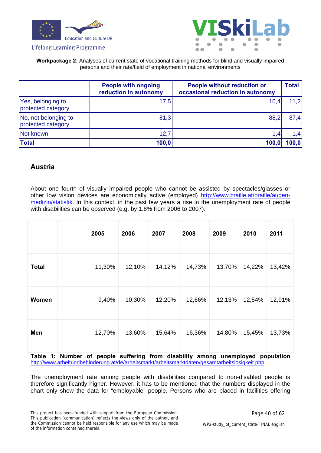



#### **Workpackage 2:** Analyses of current state of vocational training methods for blind and visually impaired persons and their rate/field of employment in national environments

|                                            | <b>People with ongoing</b><br>reduction in autonomy | <b>People without reduction or</b><br>occasional reduction in autonomy | <b>Total</b> |
|--------------------------------------------|-----------------------------------------------------|------------------------------------------------------------------------|--------------|
| Yes, belonging to<br>protected category    | 17,5                                                | 10,4                                                                   | 11,2         |
| No, not belonging to<br>protected category | 81,3                                                | 88,2                                                                   | 87,4         |
| Not known                                  | 12,7                                                | 1,4                                                                    | 1,4          |
| <b>Total</b>                               | 100,0                                               | 100,0                                                                  | 100,0        |

### **Austria**

About one fourth of visually impaired people who cannot be assisted by spectacles/glasses or other low vision devices are economically active (employed) [http://www.braille.at/braille/augen](http://www.braille.at/braille/augen-medizin/statistik)[medizin/statistik](http://www.braille.at/braille/augen-medizin/statistik). In this context, in the past few years a rise in the unemployment rate of people with disabilities can be observed (e.g. by 1.8% from 2006 to 2007).

|              | 2005   | 2006   | 2007   | 2008   | 2009   | 2010   | 2011   |
|--------------|--------|--------|--------|--------|--------|--------|--------|
| <b>Total</b> | 11,30% | 12,10% | 14,12% | 14,73% | 13,70% | 14,22% | 13,42% |
| Women        | 9,40%  | 10,30% | 12,20% | 12,66% | 12,13% | 12,54% | 12,91% |
| Men          | 12,70% | 13,60% | 15,64% | 16,36% | 14,80% | 15,45% | 13,73% |

**Table 1: Number of people suffering from disability among unemployed population**  <http://www.arbeitundbehinderung.at/de/arbeitsmarkt/arbeitsmarktdaten/gesamtarbeitslosigkeit.php>

The unemployment rate among people with disabilities compared to non-disabled people is therefore significantly higher. However, it has to be mentioned that the numbers displayed in the chart only show the data for "employable" people. Persons who are placed in facilities offering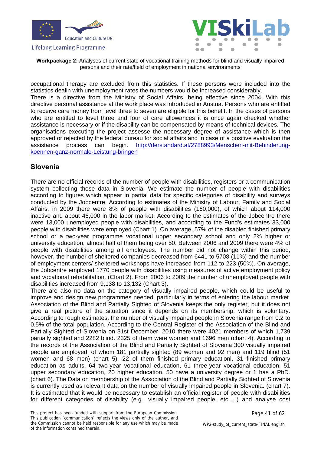



**Workpackage 2:** Analyses of current state of vocational training methods for blind and visually impaired persons and their rate/field of employment in national environments

occupational therapy are excluded from this statistics. If these persons were included into the statistics dealin with unemployment rates the numbers would be increased considerably. There is a directive from the Ministry of Social Affairs, being effective since 2004. With this directive personal assistance at the work place was introduced in Austria. Persons who are entitled to receive care money from level three to seven are eligible for this benefit. In the cases of persons who are entitled to level three and four of care allowances it is once again checked whether assistance is necessary or if the disability can be compensated by means of technical devices. The organisations executing the project assesse the necessary degree of assistance which is then approved or rejected by the federal bureau for social affairs and in case of a positive evaluation the assistance process can begin. [http://derstandard.at/2788993/Menschen-mit-Behinderung](http://derstandard.at/2788993/Menschen-mit-Behinderung-koennen-ganz-normale-Leistung-bringen)[koennen-ganz-normale-Leistung-bringen](http://derstandard.at/2788993/Menschen-mit-Behinderung-koennen-ganz-normale-Leistung-bringen)

### **Slovenia**

There are no official records of the number of people with disabilities, registers or a communication system collecting these data in Slovenia. We estimate the number of people with disabilities according to figures which appear in partial data for specific categories of disability and surveys conducted by the Jobcentre. According to estimates of the Ministry of Labour, Family and Social Affairs, in 2009 there were 8% of people with disabilities (160,000), of which about 114,000 inactive and about 46,000 in the labor market. According to the estimates of the Jobcentre there were 13,000 unemployed people with disabilities, and according to the Fund's estimates 33,000 people with disabilities were employed (Chart 1). On average, 57% of the disabled finished primary school or a two-year programme vocational upper secondary school and only 2% higher or university education, almost half of them being over 50. Between 2006 and 2009 there were 4% of people with disabilities among all employees. The number did not change within this period, however, the number of sheltered companies decreased from 6441 to 5708 (11%) and the number of employment centers/ sheltered workshops have increased from 112 to 223 (50%). On average, the Jobcentre employed 1770 people with disabilities using measures of active employment policy and vocational rehabilitation. (Chart 2). From 2006 to 2009 the number of unemployed people with disabilities increased from 9,138 to 13,132 (Chart 3).

There are also no data on the category of visually impaired people, which could be useful to improve and design new programmes needed, particularly in terms of entering the labour market. Association of the Blind and Partially Sighted of Slovenia keeps the only register, but it does not give a real picture of the situation since it depends on its membership, which is voluntary. According to rough estimates, the number of visually impaired people in Slovenia range from 0.2 to 0.5% of the total population. According to the Central Register of the Association of the Blind and Partially Sighted of Slovenia on 31st December. 2010 there were 4021 members of which 1,739 partially sighted and 2282 blind. 2325 of them were women and 1696 men (chart 4). According to the records of the Association of the Blind and Partially Sighted of Slovenia 300 visually impaired people are employed, of whom 181 partially sighted (89 women and 92 men) and 119 blind (51 women and 68 men) (chart 5). 22 of them finished primary educationl, 31 finished primary education as adults, 64 two-year vocational education, 61 three-year vocational education, 51 upper secondary education, 20 higher education, 50 have a university degree or 1 has a PhD. (chart 6). The Data on membership of the Association of the Blind and Partially Sighted of Slovenia is currently used as relevant data on the number of visually impaired people in Slovenia. (chart 7). It is estimated that it would be necessary to establish an official register of people with disabilities for different categories of disability (e.g., visually impaired people, etc ...) and analyse cost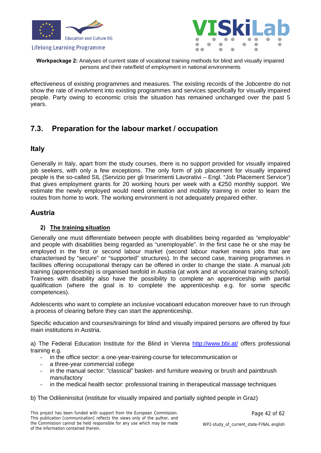



**Workpackage 2:** Analyses of current state of vocational training methods for blind and visually impaired persons and their rate/field of employment in national environments

effectiveness of existing programmes and measures. The existing records of the Jobcentre do not show the rate of involvment into existing programmes and services specifically for visually impaired people. Party owing to economic crisis the situation has remained unchanged over the past 5 years.

### <span id="page-41-0"></span>**7.3. Preparation for the labour market / occupation**

### **Italy**

Generally in Italy, apart from the study courses, there is no support provided for visually impaired job seekers, with only a few exceptions. The only form of job placement for visually impaired people is the so-called SIL (Servizio per gli Inserimenti Lavorativi – Engl. "Job Placement Service") that gives employment grants for 20 working hours per week with a €250 monthly support. We estimate the newly employed would need orientation and mobility training in order to learn the routes from home to work. The working environment is not adequately prepared either.

### **Austria**

#### **2) The training situation**

Generally one must differentiate between people with disabilities being regarded as "employable" and people with disabilities being regarded as "unemployable". In the first case he or she may be employed in the first or second labour market (second labour market means jobs that are characterised by "secure" or "supported" structures). In the second case, training programmes in facilities offering occupational therapy can be offered in order to change the state. A manual job training (apprenticeship) is organised twofold in Austria (at work and at vocational training school). Trainees with disability also have the possibility to complete an apprenticeship with partial qualification (where the goal is to complete the apprenticeship e.g. for some specific competences).

Adolescents who want to complete an inclusive vocatioanl education moreover have to run through a process of clearing before they can start the apprenticeship.

Specific education and courses/trainings for blind and visually impaired persons are offered by four main institutions in Austria.

a) The Federal Education Institute for the Blind in Vienna <http://www.bbi.at/>offers professional training e.g.

- in the office sector: a one-year-training-course for telecommunication or
- a three-year commercial college
- in the manual sector: "classical" basket- and furniture weaving or brush and paintbrush manufactory
- in the medical health sector: professional training in therapeutical massage techniques

b) The Odilieninsitut (institute for visually impaired and partially sighted people in Graz)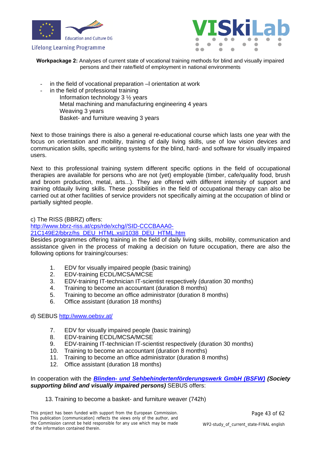



**Workpackage 2:** Analyses of current state of vocational training methods for blind and visually impaired persons and their rate/field of employment in national environments

- in the field of vocational preparation –I orientation at work
- in the field of professional training Information technology 3 ½ years Metal machining and manufacturing engineering 4 years Weaving 3 years Basket- and furniture weaving 3 years

Next to those trainings there is also a general re-educational course which lasts one year with the focus on orientation and mobility, training of daily living skills, use of low vision devices and communication skills, specific writing systems for the blind, hard- and software for visually impaired users.

Next to this professional training system different specific options in the field of occupational therapies are available for persons who are not (yet) employable (timber, cafe/quality food, brush and broom production, metal, arts...). They are offered with different intensity of support and training ofdauily living skills. These possibilities in the field of occupational therapy can also be carried out at other facilities of service providers not specifically aiming at the occupation of blind or partially sighted people.

c) The RISS (BBRZ) offers:

[http://www.bbrz-riss.at/cps/rde/xchg//SID-CCCBAAA0-](http://www.bbrz-riss.at/cps/rde/xchg//SID-CCCBAAA0-21C149E2/bbrz/hs_DEU_HTML.xsl/1038_DEU_HTML.htm)

[21C149E2/bbrz/hs\\_DEU\\_HTML.xsl/1038\\_DEU\\_HTML.htm](http://www.bbrz-riss.at/cps/rde/xchg//SID-CCCBAAA0-21C149E2/bbrz/hs_DEU_HTML.xsl/1038_DEU_HTML.htm)

Besides programmes offering training in the field of daily living skills, mobility, communication and assistance given in the process of making a decision on future occupation, there are also the following options for training/courses:

- 1. EDV for visually impaired people (basic training)
- 2. EDV-training ECDL/MCSA/MCSE
- 3. EDV-training IT-technician IT-scientist respectively (duration 30 months)
- 4. Training to become an accountant (duration 8 months)
- 5. Training to become an office administrator (duration 8 months)
- 6. Office assistant (duration 18 months)

#### d) SEBUS <http://www.oebsv.at/>

- 7. EDV for visually impaired people (basic training)
- 8. EDV-training ECDL/MCSA/MCSE
- 9. EDV-training IT-technician IT-scientist respectively (duration 30 months)
- 10. Training to become an accountant (duration 8 months)
- 11. Training to become an office administrator (duration 8 months)
- 12. Office assistant (duration 18 months)

In cooperation with the *[Blinden- und Sehbehindertenförderungswerk GmbH \(BSFW\)](http://www.bsfw.at/) (Society supporting blind and visually impaired persons)* SEBUS offers:

#### 13. Training to become a basket- and furniture weaver (742h)

This project has been funded with support from the European Commission. This publication [communication] reflects the views only of the author, and the Commission cannot be held responsible for any use which may be made of the information contained therein.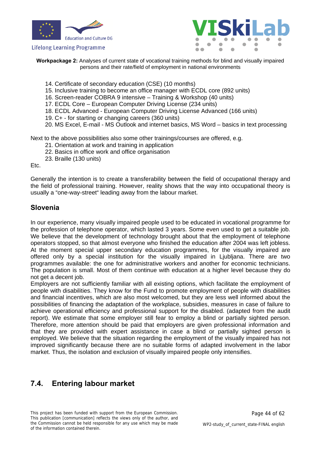



**Workpackage 2:** Analyses of current state of vocational training methods for blind and visually impaired persons and their rate/field of employment in national environments

- 14. Certificate of secondary education (CSE) (10 months)
- 15. Inclusive training to become an office manager with ECDL core (892 units)
- 16. Screen-reader COBRA 9 intensive Training & Workshop (40 units)
- 17. ECDL Core European Computer Driving License (234 units)
- 18. ECDL Advanced European Computer Driving License Advanced (166 units)
- 19. C+ for starting or changing careers (360 units)
- 20. MS Excel, E-mail MS Outlook and internet basics, MS Word basics in text processing

Next to the above possibilities also some other trainings/courses are offered, e.g.

- 21. Orientation at work and training in application
- 22. Basics in office work and office organisation
- 23. Braille (130 units)

Etc.

Generally the intention is to create a transferability between the field of occupational therapy and the field of professional training. However, reality shows that the way into occupational theory is usually a "one-way-street" leading away from the labour market.

### **Slovenia**

In our experience, many visually impaired people used to be educated in vocational programme for the profession of telephone operator, which lasted 3 years. Some even used to get a suitable job. We believe that the development of technology brought about that the employment of telephone operators stopped, so that almost everyone who finished the education after 2004 was left jobless. At the moment special upper secondary education programmes, for the visually impaired are offered only by a special institution for the visually impaired in Ljubljana. There are two programmes available: the one for administrative workers and another for economic technicians. The population is small. Most of them continue with education at a higher level because they do not get a decent job.

Employers are not sufficiently familiar with all existing options, which facilitate the employment of people with disabilities. They know for the Fund to promote employment of people with disabilities and financial incentives, which are also most welcomed, but they are less well informed about the possibilities of financing the adaptation of the workplace, subsidies, measures in case of failure to achieve operational efficiency and professional support for the disabled. (adapted from the audit report). We estimate that some employer still fear to employ a blind or partially sighted person. Therefore, more attention should be paid that employers are given professional information and that they are provided with expert assistance in case a blind or partially sighted person is employed. We believe that the situation regarding the employment of the visually impaired has not improved significantly because there are no suitable forms of adapted involvement in the labor market. Thus, the isolation and exclusion of visually impaired people only intensifies.

### <span id="page-43-0"></span>**7.4. Entering labour market**

This project has been funded with support from the European Commission. This publication [communication] reflects the views only of the author, and the Commission cannot be held responsible for any use which may be made of the information contained therein.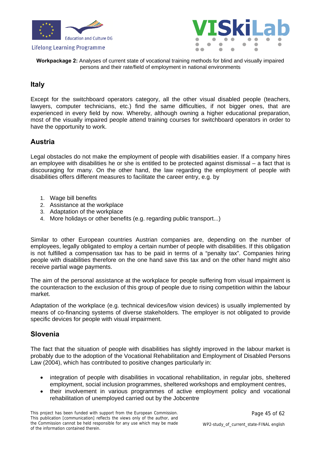



**Workpackage 2:** Analyses of current state of vocational training methods for blind and visually impaired persons and their rate/field of employment in national environments

### **Italy**

Except for the switchboard operators category, all the other visual disabled people (teachers, lawyers, computer technicians, etc.) find the same difficulties, if not bigger ones, that are experienced in every field by now. Whereby, although owning a higher educational preparation, most of the visually impaired people attend training courses for switchboard operators in order to have the opportunity to work.

### **Austria**

Legal obstacles do not make the employment of people with disabilities easier. If a company hires an employee with disabilities he or she is entitled to be protected against dismissal – a fact that is discouraging for many. On the other hand, the law regarding the employment of people with disabilities offers different measures to facilitate the career entry, e.g. by

- 1. Wage bill benefits
- 2. Assistance at the workplace
- 3. Adaptation of the workplace
- 4. More holidays or other benefits (e.g. regarding public transport...)

Similar to other European countries Austrian companies are, depending on the number of employees, legally obligated to employ a certain number of people with disabilities. If this obligation is not fulfilled a compensation tax has to be paid in terms of a "penalty tax". Companies hiring people with disabilities therefore on the one hand save this tax and on the other hand might also receive partial wage payments.

The aim of the personal assistance at the workplace for people suffering from visual impairment is the counteraction to the exclusion of this group of people due to rising competition within the labour market.

Adaptation of the workplace (e.g. technical devices/low vision devices) is usually implemented by means of co-financing systems of diverse stakeholders. The employer is not obligated to provide specific devices for people with visual impairment.

### **Slovenia**

The fact that the situation of people with disabilities has slightly improved in the labour market is probably due to the adoption of the Vocational Rehabilitation and Employment of Disabled Persons Law (2004), which has contributed to positive changes particularly in:

- integration of people with disabilities in vocational rehabilitation, in regular jobs, sheltered employment, social inclusion programmes, sheltered workshops and employment centres,
- their involvement in various programmes of active employment policy and vocational rehabilitation of unemployed carried out by the Jobcentre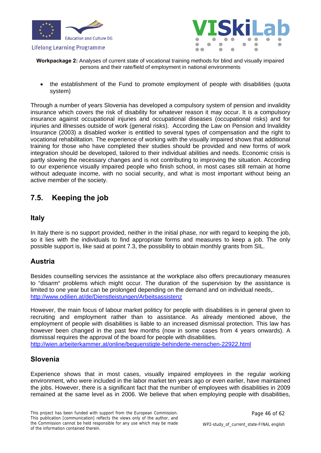



**Workpackage 2:** Analyses of current state of vocational training methods for blind and visually impaired persons and their rate/field of employment in national environments

 the establishment of the Fund to promote employment of people with disabilities (quota system)

Through a number of years Slovenia has developed a compulsory system of pension and invalidity insurance which covers the risk of disability for whatever reason it may occur. It is a compulsory insurance against occupational injuries and occupational diseases (occupational risks) and for injuries and illnesses outside of work (general risks). According the Law on Pension and Invalidity Insurance (2003) a disabled worker is entitled to several types of compensation and the right to vocational rehabilitation. The experience of working with the visually impaired shows that additional training for those who have completed their studies should be provided and new forms of work integration should be developed, tailored to their individual abilities and needs. Economic crisis is partly slowing the necessary changes and is not contributing to improving the situation. According to our experience visually impaired people who finish school, in most cases still remain at home without adequate income, with no social security, and what is most important without being an active member of the society.

### <span id="page-45-0"></span>**7.5. Keeping the job**

### **Italy**

In Italy there is no support provided, neither in the initial phase, nor with regard to keeping the job, so it lies with the individuals to find appropriate forms and measures to keep a job. The only possible support is, like said at point 7.3, the possibility to obtain monthly grants from SIL.

### **Austria**

Besides counselling services the assistance at the workplace also offers precautionary measures to "disarm" problems which might occur. The duration of the supervision by the assistance is limited to one year but can be prolonged depending on the demand and on individual needs,. <http://www.odilien.at/de/Dienstleistungen/Arbeitsassistenz>

However, the main focus of labour market politicy for people with disabilities is in general given to recruiting and employment rather than to assistance. As already mentioned above, the employment of people with disabilities is liable to an increased dismissal protection. This law has however been changed in the past few months (now in some cases from 4 years onwards). A dismissal requires the approval of the board for people with disabilities. <http://wien.arbeiterkammer.at/online/beguenstigte-behinderte-menschen-22922.html>

### **Slovenia**

Experience shows that in most cases, visually impaired employees in the regular working environment, who were included in the labor market ten years ago or even earlier, have maintained the jobs. However, there is a significant fact that the number of employees with disabilities in 2009 remained at the same level as in 2006. We believe that when employing people with disabilities,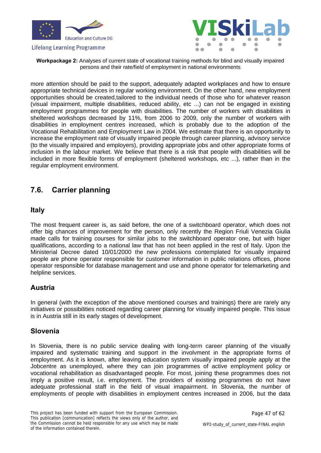



**Workpackage 2:** Analyses of current state of vocational training methods for blind and visually impaired persons and their rate/field of employment in national environments

more attention should be paid to the support, adequately adapted workplaces and how to ensure appropriate technical devices in regular working environment. On the other hand, new employment opportunities should be created,tailored to the individual needs of those who for whatever reason (visual impairment, multiple disabilities, reduced ability, etc ...) can not be engaged in existing employment programmes for people with disabilities. The number of workers with disabilities in sheltered workshops decreased by 11%, from 2006 to 2009, only the number of workers with disabilities in employment centres increased, which is probably due to the adoption of the Vocational Rehabilitation and Employment Law in 2004. We estimate that there is an opportunity to increase the employment rate of visually impaired people through career planning, advisory service (to the visually impaired and employers), providing appropriate jobs and other appropriate forms of inclusion in the labour market. We believe that there is a risk that people with disabilities will be included in more flexible forms of employment (sheltered workshops, etc ...), rather than in the regular employment environment.

### <span id="page-46-0"></span>**7.6. Carrier planning**

### **Italy**

The most frequent career is, as said before, the one of a switchboard operator, which does not offer big chances of improvement for the person, only recently the Region Friuli Venezia Giulia made calls for training courses for similar jobs to the switchboard operator one, but with higer qualifications, according to a national law that has not been applied in the rest of Italy. Upon the Ministerial Decree dated 10/01/2000 the new professions contemplated for visually impaired people are phone operator responsible for customer information in public relations offices, phone operator responsible for database management and use and phone operator for telemarketing and helpline services.

### **Austria**

In general (with the exception of the above mentioned courses and trainings) there are rarely any initiatives or possibilities noticed regarding career planning for visually impaired people. This issue is in Austria still in its early stages of development.

### **Slovenia**

In Slovenia, there is no public service dealing with long-term career planning of the visually impaired and systematic training and support in the involvment in the appropriate forms of employment. As it is known, after leaving education system visually impaired people apply at the Jobcentre as unemployed, where they can join programmes of active employment policy or vocational rehabilitation as disadvantaged people. For most, joining these programmes does not imply a positive result, i.e. employment. The providers of existing programmes do not have adequate professional staff in the field of visual imapairment. In Slovenia, the number of employments of people with disabilities in employment centres increased in 2006, but the data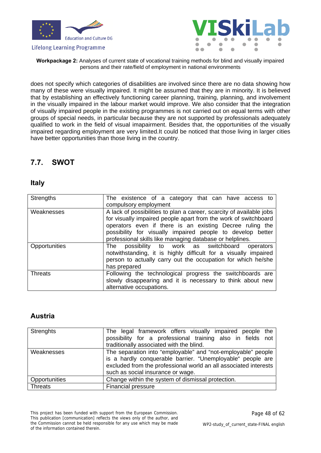



**Workpackage 2:** Analyses of current state of vocational training methods for blind and visually impaired persons and their rate/field of employment in national environments

does not specify which categories of disabilities are involved since there are no data showing how many of these were visually impaired. It might be assumed that they are in minority. It is believed that by establishing an effectively functioning career planning, training, planning, and involvement in the visually impaired in the labour market would improve. We also consider that the integration of visually impaired people in the existing programmes is not carried out on equal terms with other groups of special needs, in particular because they are not supported by professionals adequately qualified to work in the field of visual imapairment. Besides that, the opportunities of the visually impaired regarding employment are very limited.It could be noticed that those living in larger cities have better opportunities than those living in the country.

### <span id="page-47-0"></span>**7.7. SWOT**

### **Italy**

| <b>Strengths</b> | The existence of a category that can have access to                                                                                                                                                                                                                                                                           |  |  |  |  |  |  |
|------------------|-------------------------------------------------------------------------------------------------------------------------------------------------------------------------------------------------------------------------------------------------------------------------------------------------------------------------------|--|--|--|--|--|--|
|                  | compulsory employment                                                                                                                                                                                                                                                                                                         |  |  |  |  |  |  |
| Weaknesses       | A lack of possibilities to plan a career, scarcity of available jobs<br>for visually impaired people apart from the work of switchboard<br>operators even if there is an existing Decree ruling the<br>possibility for visually impaired people to develop better<br>professional skills like managing database or helplines. |  |  |  |  |  |  |
| Opportunities    | possibility to work as switchboard<br>The<br>operators<br>notwithstanding, it is highly difficult for a visually impaired<br>person to actually carry out the occupation for which he/she<br>has prepared                                                                                                                     |  |  |  |  |  |  |
| <b>Threats</b>   | Following the technological progress the switchboards are<br>slowly disappearing and it is necessary to think about new<br>alternative occupations.                                                                                                                                                                           |  |  |  |  |  |  |

### **Austria**

| Strenghts     | The legal framework offers visually impaired people the<br>possibility for a professional training also in fields not<br>traditionally associated with the blind.                                                                   |  |  |  |  |  |
|---------------|-------------------------------------------------------------------------------------------------------------------------------------------------------------------------------------------------------------------------------------|--|--|--|--|--|
| Weaknesses    | The separation into "employable" and "not-employable" people<br>is a hardly conquerable barrier. "Unemployable" people are<br>excluded from the professional world an all associated interests<br>such as social insurance or wage. |  |  |  |  |  |
| Opportunities | Change within the system of dismissal protection.                                                                                                                                                                                   |  |  |  |  |  |
| Threats       | <b>Financial pressure</b>                                                                                                                                                                                                           |  |  |  |  |  |

This project has been funded with support from the European Commission. This publication [communication] reflects the views only of the author, and the Commission cannot be held responsible for any use which may be made of the information contained therein.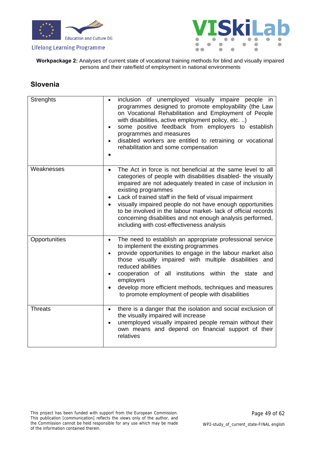



**Workpackage 2:** Analyses of current state of vocational training methods for blind and visually impaired persons and their rate/field of employment in national environments

### **Slovenia**

| <b>Strenghts</b> | inclusion of unemployed visually impaire people in<br>programmes designed to promote employability (the Law<br>on Vocational Rehabilitation and Employment of People<br>with disabilities, active employment policy, etc. )<br>some positive feedback from employers to establish<br>$\bullet$<br>programmes and measures<br>disabled workers are entitled to retraining or vocational<br>$\bullet$<br>rehabilitation and some compensation                                                                                                                   |
|------------------|---------------------------------------------------------------------------------------------------------------------------------------------------------------------------------------------------------------------------------------------------------------------------------------------------------------------------------------------------------------------------------------------------------------------------------------------------------------------------------------------------------------------------------------------------------------|
| Weaknesses       | The Act in force is not beneficial at the same level to all<br>$\bullet$<br>categories of people with disabilities disabled- the visually<br>impaired are not adequately treated in case of inclusion in<br>existing programmes<br>Lack of trained staff in the field of visual impairment<br>$\bullet$<br>visually impaired people do not have enough opportunities<br>$\bullet$<br>to be involved in the labour market-lack of official records<br>concerning disabilities and not enough analysis performed,<br>including with cost-effectiveness analysis |
| Opportunities    | The need to establish an appropriate professional service<br>$\bullet$<br>to implement the existing programmes<br>provide opportunities to engage in the labour market also<br>those visually impaired with multiple disabilities and<br>reduced abilities<br>cooperation of all institutions within the state and<br>$\bullet$<br>employers<br>develop more efficient methods, techniques and measures<br>$\bullet$<br>to promote employment of people with disabilities                                                                                     |
| <b>Threats</b>   | there is a danger that the isolation and social exclusion of<br>$\bullet$<br>the visually impaired will increase<br>unemployed visually impaired people remain without their<br>$\bullet$<br>own means and depend on financial support of their<br>relatives                                                                                                                                                                                                                                                                                                  |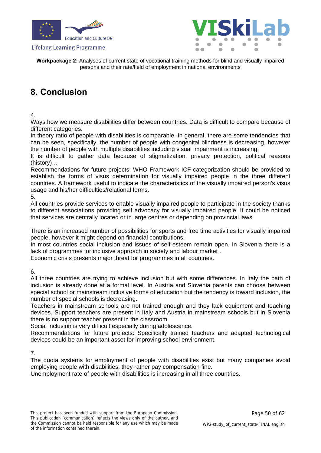



**Workpackage 2:** Analyses of current state of vocational training methods for blind and visually impaired persons and their rate/field of employment in national environments

### <span id="page-49-0"></span>**8. Conclusion**

4.

Ways how we measure disabilities differ between countries. Data is difficult to compare because of different categories.

In theory ratio of people with disabilities is comparable. In general, there are some tendencies that can be seen, specifically, the number of people with congenital blindness is decreasing, however the number of people with multiple disabilities including visual impairment is increasing.

It is difficult to gather data because of stigmatization, privacy protection, political reasons (history)…

Recommendations for future projects: WHO Framework ICF categorization should be provided to establish the forms of visus determination for visually impaired people in the three different countries. A framework useful to indicate the characteristics of the visually impaired person's visus usage and his/her difficulties/relational forms.

5.

All countries provide services to enable visually impaired people to participate in the society thanks to different associations providing self advocacy for visually impaired people. It could be noticed that services are centrally located or in large centres or depending on provincial laws.

There is an increased number of possibilities for sports and free time activities for visually impaired people, however it might depend on financial contributions.

In most countries social inclusion and issues of self-esteem remain open. In Slovenia there is a lack of programmes for inclusive approach in society and labour market .

Economic crisis presents major threat for programmes in all countries.

6.

All three countries are trying to achieve inclusion but with some differences. In Italy the path of inclusion is already done at a formal level. In Austria and Slovenia parents can choose between special school or mainstream inclusive forms of education but the tendency is toward inclusion, the number of special schools is decreasing.

Teachers in mainstream schools are not trained enough and they lack equipment and teaching devices. Support teachers are present in Italy and Austria in mainstream schools but in Slovenia there is no support teacher present in the classroom.

Social inclusion is very difficult especially during adolescence.

Recommendations for future projects: Specifically trained teachers and adapted technological devices could be an important asset for improving school environment.

7.

The quota systems for employment of people with disabilities exist but many companies avoid employing people with disabilities, they rather pay compensation fine.

Unemployment rate of people with disabilities is increasing in all three countries.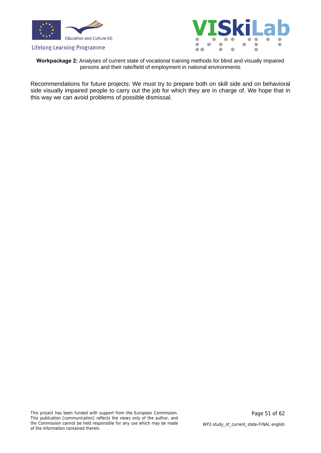



**Workpackage 2:** Analyses of current state of vocational training methods for blind and visually impaired persons and their rate/field of employment in national environments

Recommendations for future projects: We must try to prepare both on skill side and on behavioral side visually impaired people to carry out the job for which they are in charge of. We hope that in this way we can avoid problems of possible dismissal.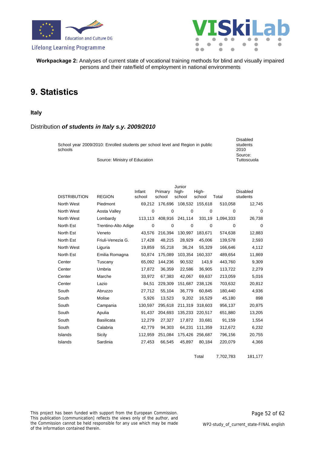





**Workpackage 2:** Analyses of current state of vocational training methods for blind and visually impaired persons and their rate/field of employment in national environments

### <span id="page-51-0"></span>**9. Statistics**

#### **Italy**

#### Distribution *of students in Italy s.y. 2009/2010*

| School year 2009/2010: Enrolled students per school level and Region in public<br>schools | Disabled<br>students<br>2010 |
|-------------------------------------------------------------------------------------------|------------------------------|
|                                                                                           | Source:                      |
| Source: Ministry of Education                                                             | Tuttoscuola                  |

| <b>DISTRIBUTION</b> | <b>REGION</b>       | Infant<br>school | Primary<br>school | Junior<br>high-<br>school | High-<br>school | Total     | <b>Disabled</b><br>students |
|---------------------|---------------------|------------------|-------------------|---------------------------|-----------------|-----------|-----------------------------|
| North West          | Piedmont            | 69,212           | 176,696           |                           | 108,532 155,618 | 510,058   | 12,745                      |
| North West          | Aosta Valley        | $\mathbf 0$      | 0                 | 0                         | $\mathbf 0$     | 0         | $\mathbf 0$                 |
| North West          | Lombardy            | 113,113          | 408,916           | 241,114                   | 331,19          | 1,094,333 | 26,738                      |
| North Est           | Trentino-Alto Adige | 0                | 0                 | $\mathbf 0$               | 0               | $\Omega$  | 0                           |
| North Est           | Veneto              | 43,576           | 216,394           | 130,997                   | 183,671         | 574,638   | 12,883                      |
| North Est           | Friuli-Venezia G.   | 17,428           | 48,215            | 28,929                    | 45,006          | 139,578   | 2,593                       |
| North West          | Liguria             | 19,859           | 55,218            | 36,24                     | 55,329          | 166,646   | 4,112                       |
| North Est           | Emilia Romagna      | 50,874           | 175,089           | 103,354                   | 160,337         | 489,654   | 11,869                      |
| Center              | Tuscany             | 65,092           | 144,236           | 90,532                    | 143,9           | 443,760   | 9,309                       |
| Center              | Umbria              | 17,872           | 36,359            | 22,586                    | 36,905          | 113,722   | 2,279                       |
| Center              | Marche              | 33,972           | 67,383            | 42,067                    | 69,637          | 213,059   | 5,016                       |
| Center              | Lazio               | 84,51            | 229,309           | 151,687                   | 238,126         | 703,632   | 20,812                      |
| South               | Abruzzo             | 27,712           | 55,104            | 36,779                    | 60,845          | 180,440   | 4,936                       |
| South               | Molise              | 5,926            | 13,523            | 9,202                     | 16,529          | 45,180    | 898                         |
| South               | Campania            | 130,597          | 295,618           | 211,319                   | 318,603         | 956,137   | 20,875                      |
| South               | Apulia              | 91,437           | 204,693           | 135,233                   | 220,517         | 651,880   | 13,205                      |
| South               | <b>Basilicata</b>   | 12,279           | 27,327            | 17,872                    | 33,681          | 91,159    | 1,554                       |
| South               | Calabria            | 42,779           | 94,303            | 64,231                    | 111,359         | 312,672   | 6,232                       |
| Islands             | Sicily              | 112,959          | 251,084           | 175,426                   | 256,687         | 796,156   | 20,755                      |
| Islands             | Sardinia            | 27,453           | 66,545            | 45,897                    | 80,184          | 220,079   | 4,366                       |

Total 7,702,783 181,177

This project has been funded with support from the European Commission. This publication [communication] reflects the views only of the author, and the Commission cannot be held responsible for any use which may be made of the information contained therein.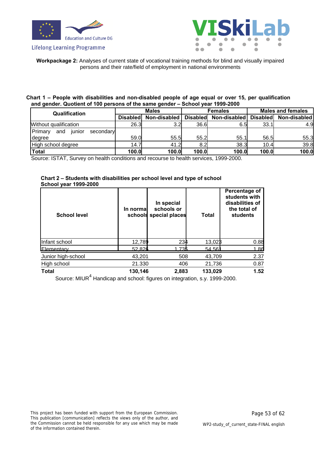



**Workpackage 2:** Analyses of current state of vocational training methods for blind and visually impaired persons and their rate/field of employment in national environments

#### **Chart 1 – People with disabilities and non-disabled people of age equal or over 15, per qualification and gender. Quotient of 100 persons of the same gender – School year 1999-2000**

| . .                                           |                 |              |                 |              |                          |              |  |
|-----------------------------------------------|-----------------|--------------|-----------------|--------------|--------------------------|--------------|--|
| <b>Qualification</b>                          |                 | <b>Males</b> |                 | Females      | <b>Males and females</b> |              |  |
|                                               | <b>Disabled</b> | Non-disabled | <b>Disabled</b> | Non-disabled | <b>Disabled</b>          | Non-disabled |  |
| Without qualification                         | 26.3            | 3.2          | 36.6            | 6.5          | 33.1                     | 4.9          |  |
| <b>IPrimarv</b><br>secondary<br>junior<br>and |                 |              |                 |              |                          |              |  |
| <b>I</b> degree                               | 59.0            | 55.5         | 55.2            | 55.1         | 56.5                     | 55.3         |  |
| High school degree                            | 14.7            | 41.2         | 8.2             | 38.3         | 10.4                     | 39.8         |  |
| Total                                         | 100.0           | 100.0        | 100.0           | 100.0        | 100.0                    | 100.0        |  |

Source: ISTAT, Survey on health conditions and recourse to health services, 1999-2000.

#### **Chart 2 – Students with disabilities per school level and type of school School year 1999-2000**

| <b>School level</b> | In normal<br>schools | In special<br>schools or<br>special places | Total   | Percentage of<br>students with<br>disabilities of<br>the total of<br>students |
|---------------------|----------------------|--------------------------------------------|---------|-------------------------------------------------------------------------------|
| Infant school       | 12,789               | 234                                        | 13,023  | 0.88                                                                          |
| Flementary          | 52826                | 1 735                                      | 54.561  | 1.86                                                                          |
| Junior high-school  | 43,201               | 508                                        | 43,709  | 2.37                                                                          |
| High school         | 21.330               | 406                                        | 21,736  | 0.87                                                                          |
| <b>Total</b>        | 130,146              | 2,883                                      | 133,029 | 1.52                                                                          |

Source: MIUR<sup>4</sup> Handicap and school: figures on integration, s.y. 1999-2000.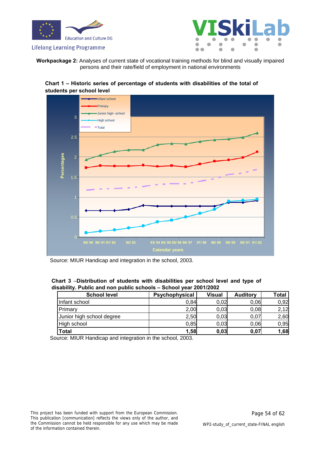



**Workpackage 2:** Analyses of current state of vocational training methods for blind and visually impaired persons and their rate/field of employment in national environments





Source: MIUR Handicap and integration in the school, 2003.

**Chart 3** –**Distribution of students with disabilities per school level and type of disability. Public and non public schools – School year 2001/2002**

| <b>School level</b>       | Psychophysical | <b>Visual</b> | <b>Auditory</b> | <b>Total</b> |
|---------------------------|----------------|---------------|-----------------|--------------|
| Infant school             | 0,84           | 0,02          | 0,06            | 0,92         |
| Primary                   | 2,00           | 0,03          | 0,08            | 2,12         |
| Junior high school degree | 2,50           | 0,03          | 0.07            | 2,60         |
| High school               | 0,85           | 0,03          | 0.06            | 0,95         |
| <b>Total</b>              | 1,58           | 0,03          | 0,07            | 1,68         |

Source: MIUR Handicap and integration in the school, 2003.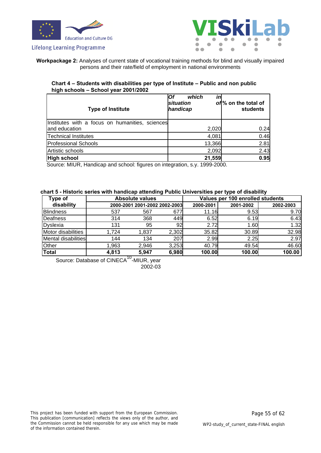



**Workpackage 2:** Analyses of current state of vocational training methods for blind and visually impaired persons and their rate/field of employment in national environments

#### **Chart 4 – Students with disabilities per type of Institute – Public and non public high schools – School year 2001/2002**

| <b>Type of Institute</b>                                         | which<br>Οf<br>situation<br>handicap | ın     | of% on the total of<br>students |
|------------------------------------------------------------------|--------------------------------------|--------|---------------------------------|
| Institutes with a focus on humanities, sciences<br>and education |                                      | 2,020  | 0.24                            |
| <b>Technical Institutes</b>                                      |                                      | 4,081  | 0.46                            |
| <b>Professional Schools</b>                                      |                                      | 13,366 | 2.81                            |
| Artistic schools                                                 |                                      | 2,092  | 2.43                            |
| High school                                                      |                                      | 21,559 | 0.95                            |

Source: MIUR, Handicap and school: figures on integration, s.y. 1999-2000.

#### **chart 5 - Historic series with handicap attending Public Universities per type of disability**

| Type of             |       | <b>Absolute values</b>        |       |           | Values per 100 enrolled students |           |  |  |  |
|---------------------|-------|-------------------------------|-------|-----------|----------------------------------|-----------|--|--|--|
| disability          |       | 2000-2001 2001-2002 2002-2003 |       | 2000-2001 | 2001-2002                        | 2002-2003 |  |  |  |
| <b>Blindness</b>    | 537   | 567                           | 677   | 11.16     | 9.53                             | 9.70      |  |  |  |
| Deafness            | 314   | 368                           | 449   | 6.52      | 6.19                             | 6.43      |  |  |  |
| Dyslexia            | 131   | 95                            | 92    | 2.72      | 1.60                             | 1.32      |  |  |  |
| Motor disabilities  | 1,724 | 1,837                         | 2,302 | 35.82     | 30.89                            | 32.98     |  |  |  |
| Mental disabilities | 144   | 134                           | 207   | 2.99      | 2.25                             | 2.97      |  |  |  |
| Other               | 1,963 | 2,946                         | 3,253 | 40.79     | 49.54                            | 46.60     |  |  |  |
| Total               | 4,813 | 5,947                         | 6,980 | 100.00    | 100.00                           | 100.00    |  |  |  |

Source: Database of CINECA<sup>10</sup>-MIUR, year 2002-03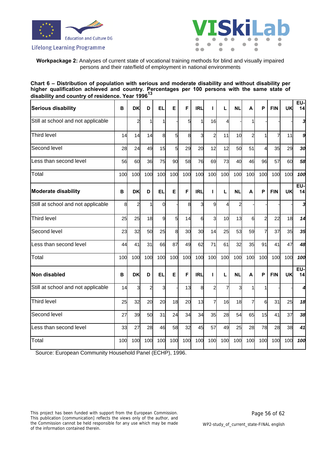



#### **Workpackage 2:** Analyses of current state of vocational training methods for blind and visually impaired persons and their rate/field of employment in national environments

#### **Chart 6 – Distribution of population with serious and moderate disability and without disability per higher qualification achieved and country. Percentages per 100 persons with the same state of disability and country of residence. Year 1996<sup>13</sup>**

| <b>Serious disability</b>          | B   | DK            | D              | <b>EL</b>      | Е   | F   | <b>IRL</b> | п              | L   | <b>NL</b> | A              | P              | <b>FIN</b> | UK  | EU-<br>14      |
|------------------------------------|-----|---------------|----------------|----------------|-----|-----|------------|----------------|-----|-----------|----------------|----------------|------------|-----|----------------|
| Still at school and not applicable |     | 2             |                | 1              |     | 5   | 1          | 16             | 4   |           |                |                |            |     |                |
| Third level                        | 14  | 14            | 14             | 8              | 5   | 8   | 3          | $\overline{a}$ | 11  | 10        | $\overline{a}$ |                | 7          | 11  | g              |
| Second level                       | 28  | 24            | 49             | 15             | 5   | 29  | 20         | 12             | 12  | 50        | 51             | $\overline{A}$ | 35         | 29  | 3 <sub>d</sub> |
| Less than second level             | 56  | 60            | 36             | 75             | 90  | 58  | 76         | 69             | 73  | 40        | 46             | 96             | 57         | 60  | 58             |
| Total                              | 100 | 100           | 100            | 100            | 100 | 100 | 100        | 100            | 100 | 100       | 100            | 100            | 100        | 100 | 100            |
| <b>Moderate disability</b>         | B   | DK            | D              | <b>EL</b>      | Е   | F   | <b>IRL</b> | $\mathbf{I}$   | L   | <b>NL</b> | A              | P              | <b>FIN</b> | UK  | EU-<br>14      |
| Still at school and not applicable | 8   | $\mathcal{P}$ |                | $\Omega$       |     | 8   | 3          | 9              | 4   | 2         |                |                |            |     |                |
| Third level                        | 25  | 25            | 18             | $\overline{9}$ | 5   | 14  | 6          | 3              | 10  | 13        | 6              | $\overline{2}$ | 22         | 18  | 14             |
| Second level                       | 23  | 32            | 50             | 25             | 8   | 30  | 30         | 14             | 25  | 53        | 59             | 7              | 37         | 35  | 35             |
| Less than second level             | 44  | 41            | 31             | 66             | 87  | 49  | 62         | 71             | 61  | 32        | 35             | 91             | 41         | 47  | 48             |
| Total                              | 100 | 100           | 100            | 100            | 100 | 100 | 100        | 100            | 100 | 100       | 100            | 100            | 100        | 100 | 100            |
| Non disabled                       | B   | <b>DK</b>     | D              | EL             | E   | F   | <b>IRL</b> | T              | L   | <b>NL</b> | A              | P              | <b>FIN</b> | UK  | EU-<br>14      |
| Still at school and not applicable | 14  | 3             | $\overline{2}$ | $\overline{3}$ |     | 13  | 8          | $\overline{a}$ | 7   | 3         |                |                |            |     |                |
| Third level                        | 25  | 32            | 20             | 20             | 18  | 20  | 13         | 7              | 16  | 18        | $\overline{7}$ | 6              | 31         | 25  | 18             |
| Second level                       | 27  | 39            | 50             | 31             | 24  | 34  | 34         | 35             | 28  | 54        | 65             | 15             | 41         | 37  | 38             |
| Less than second level             | 33  | 27            | 28             | 46             | 58  | 32  | 45         | 57             | 49  | 25        | 28             | 78             | 28         | 38  | 41             |
| Total                              | 100 | 100           | 100            | 100            | 100 | 100 | 100        | 100            | 100 | 100       | 100            | 100            | 100        | 100 | 100            |

Source: European Community Household Panel (ECHP), 1996.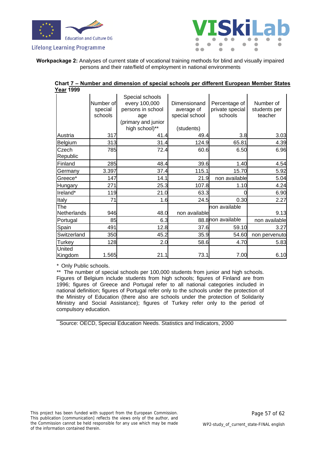



**Workpackage 2:** Analyses of current state of vocational training methods for blind and visually impaired persons and their rate/field of employment in national environments

| Chart 7 - Number and dimension of special schools per different European Member States |                                 |                                                                                                       |                                                            |                                             |                                      |  |  |  |  |  |  |
|----------------------------------------------------------------------------------------|---------------------------------|-------------------------------------------------------------------------------------------------------|------------------------------------------------------------|---------------------------------------------|--------------------------------------|--|--|--|--|--|--|
| <u>Year</u> 1999                                                                       |                                 |                                                                                                       |                                                            |                                             |                                      |  |  |  |  |  |  |
|                                                                                        | Number of<br>special<br>schools | Special schools<br>every 100,000<br>persons in school<br>age<br>(primary and junior<br>high school)** | Dimensionand<br>average of<br>special school<br>(students) | Percentage of<br>private special<br>schools | Number of<br>students per<br>teacher |  |  |  |  |  |  |
| Austria                                                                                | 317                             | 41.4                                                                                                  | 49.4                                                       | 3.8                                         | 3.03                                 |  |  |  |  |  |  |
| Belgium                                                                                | 313                             | 31.4                                                                                                  | 124.9                                                      | 65.81                                       | 4.39                                 |  |  |  |  |  |  |
| Czech<br>Republic                                                                      | 785                             | 72.4                                                                                                  | 60.6                                                       | 6.50                                        | 6.96                                 |  |  |  |  |  |  |
| Finland                                                                                | 285                             | 48.4                                                                                                  | 39.6                                                       | 1.40                                        | 4.54                                 |  |  |  |  |  |  |
| Germany                                                                                | 3.397                           | 37.4                                                                                                  | 115.1                                                      | 15.70                                       | 5.92                                 |  |  |  |  |  |  |
| Greece*                                                                                | 147                             | 14.1                                                                                                  | 21.9                                                       | non available                               | 5.04                                 |  |  |  |  |  |  |
| <b>Hungary</b>                                                                         | 271                             | 25.3                                                                                                  | 107.8                                                      | 1.10                                        | 4.24                                 |  |  |  |  |  |  |
| Ireland*                                                                               | 119                             | 21.0                                                                                                  | 63.3                                                       |                                             | 6.90                                 |  |  |  |  |  |  |
| Italy                                                                                  | 71                              | 1.6                                                                                                   | 24.5                                                       | 0.30                                        | 2.27                                 |  |  |  |  |  |  |
| <b>The</b><br>Netherlands                                                              | 946                             | 48.0                                                                                                  | non available                                              | non available                               | 9.13                                 |  |  |  |  |  |  |
| Portugal                                                                               | 85                              | 6.3                                                                                                   |                                                            | 88.8 non available                          | non available                        |  |  |  |  |  |  |
| Spain                                                                                  | 491                             | 12.8                                                                                                  | 37.6                                                       | 59.10                                       | 3.27                                 |  |  |  |  |  |  |
| Switzerland                                                                            | 350                             | 45.2                                                                                                  | 35.9                                                       | 54.60                                       | non pervenuto                        |  |  |  |  |  |  |
| Turkey                                                                                 | 128                             | 2.0                                                                                                   | 58.6                                                       | 4.70                                        | 5.83                                 |  |  |  |  |  |  |
| United<br>Kingdom                                                                      | 1.565                           | 21.1                                                                                                  | 73.1                                                       | 7.00                                        | 6.10                                 |  |  |  |  |  |  |

\* Only Public schools.

\*\* The number of special schools per 100,000 students from junior and high schools. Figures of Belgium include students from high schools; figures of Finland are from 1996; figures of Greece and Portugal refer to all national categories included in national definition; figures of Portugal refer only to the schools under the protection of the Ministry of Education (there also are schools under the protection of Solidarity Ministry and Social Assistance); figures of Turkey refer only to the period of compulsory education.

Source: OECD, Special Education Needs. Statistics and Indicators, 2000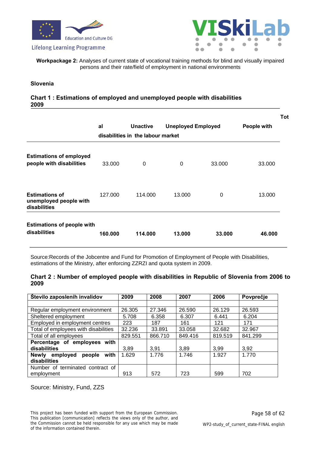





**Workpackage 2:** Analyses of current state of vocational training methods for blind and visually impaired persons and their rate/field of employment in national environments

#### **Slovenia**

#### **Chart 1 : Estimations of employed and unemployed people with disabilities 2009**

|                                                                 |                                   |                 |                           |        |             | Tol |
|-----------------------------------------------------------------|-----------------------------------|-----------------|---------------------------|--------|-------------|-----|
|                                                                 | al                                | <b>Unactive</b> | <b>Uneployed Employed</b> |        | People with |     |
|                                                                 | disabilities in the labour market |                 |                           |        |             |     |
| <b>Estimations of employed</b><br>people with disabilities      | 33,000                            | 0               | 0                         | 33,000 | 33,000      |     |
| <b>Estimations of</b><br>unemployed people with<br>disabilities | 127.000                           | 114.000         | 13.000                    | 0      | 13.000      |     |
| <b>Estimations of people with</b><br>disabilities               | 160.000                           | 114.000         | 13,000                    | 33,000 | 46,000      |     |

Source:Records of the Jobcentre and Fund for Promotion of Employment of People with Disabilities, estimations of the Ministry, after enforcing ZZRZI and quota system in 2009.

#### **Chart 2 : Number of employed people with disabilities in Republic of Slovenia from 2006 to 2009**

| Število zaposlenih invalidov               | 2009    | 2008    | 2007    | 2006    | Povprečje |
|--------------------------------------------|---------|---------|---------|---------|-----------|
|                                            |         |         |         |         |           |
| Regular employment environment             | 26.305  | 27.346  | 26.590  | 26.129  | 26.593    |
| Sheltered employment                       | 5.708   | 6.358   | 6.307   | 6.441   | 6.204     |
| Employed in employment centres             | 223     | 187     | 161     | 121     | 171       |
| Total of employees with disabilities       | 32.236  | 33.891  | 33.058  | 32.682  | 32.967    |
| Total of all employees                     | 829.551 | 866.710 | 849.416 | 819.519 | 841.299   |
| Percentage of employees with               |         |         |         |         |           |
| disabilities                               | 3.89    | 3,91    | 3.89    | 3,99    | 3,92      |
| with<br>people<br><b>Newly</b><br>employed | 1.629   | 1.776   | 1.746   | 1.927   | 1.770     |
| disabilities                               |         |         |         |         |           |
| Number of terminated contract of           |         |         |         |         |           |
| employment                                 | 913     | 572     | 723     | 599     | 702       |

Source: Ministry, Fund, ZZS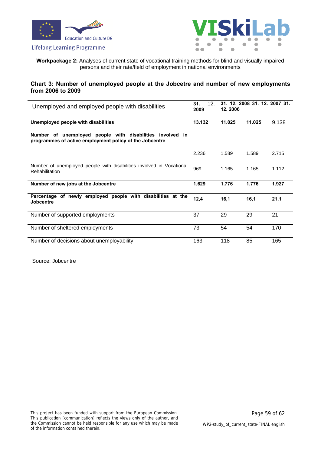





**Workpackage 2:** Analyses of current state of vocational training methods for blind and visually impaired persons and their rate/field of employment in national environments

#### **Chart 3: Number of unemployed people at the Jobcetre and number of new employments from 2006 to 2009**

| Unemployed and employed people with disabilities                                                                     | 12.<br>31.<br>2009 | 12.2006 | 31. 12. 2008 31. 12. 2007 31. |       |
|----------------------------------------------------------------------------------------------------------------------|--------------------|---------|-------------------------------|-------|
| Unemployed people with disabilities                                                                                  | 13.132             | 11.025  | 11.025                        | 9.138 |
| Number of unemployed people with disabilities involved in<br>programmes of active employment policy of the Jobcentre |                    |         |                               |       |
|                                                                                                                      | 2.236              | 1.589   | 1.589                         | 2.715 |
| Number of unemployed people with disabilities involved in Vocational<br><b>Rehabilitation</b>                        | 969                | 1.165   | 1.165                         | 1.112 |
| Number of new jobs at the Jobcentre                                                                                  | 1.629              | 1.776   | 1.776                         | 1.927 |
| of newly employed people with disabilities at the<br>Percentage<br>Jobcentre                                         | 12,4               | 16,1    | 16,1                          | 21,1  |
| Number of supported employments                                                                                      | 37                 | 29      | 29                            | 21    |
| Number of sheltered employments                                                                                      | 73                 | 54      | 54                            | 170   |
| Number of decisions about unemployability                                                                            | 163                | 118     | 85                            | 165   |

Source: Jobcentre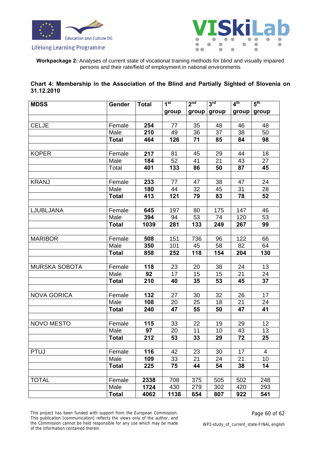



**Workpackage 2:** Analyses of current state of vocational training methods for blind and visually impaired persons and their rate/field of employment in national environments

| Chart 4: Membership in the Association of the Blind and Partially Sighted of Slovenia on |  |  |  |  |
|------------------------------------------------------------------------------------------|--|--|--|--|
| 31.12.2010                                                                               |  |  |  |  |

| <b>MDSS</b>          | Gender       | <b>Total</b> | 1 <sup>st</sup> | 2 <sup>nd</sup> | 3 <sup>rd</sup> | $4^{\text{th}}$ | 5 <sup>th</sup> |
|----------------------|--------------|--------------|-----------------|-----------------|-----------------|-----------------|-----------------|
|                      |              |              | group           | group           | group           | group           | group           |
|                      |              |              |                 |                 |                 |                 |                 |
| <b>CELJE</b>         | Female       | 254          | 77              | 35              | 48              | 46              | 48              |
|                      | Male         | 210          | 49              | $\overline{36}$ | 37              | 38              | 50              |
|                      | <b>Total</b> | 464          | 126             | 71              | 85              | 84              | 98              |
|                      |              |              |                 |                 |                 |                 |                 |
| <b>KOPER</b>         | Female       | 217          | 81              | 45              | 29              | 44              | 18              |
|                      | Male         | 184          | 52              | 41              | 21              | 43              | 27              |
|                      | Total        | 401          | 133             | 86              | 50              | 87              | 45              |
|                      |              |              |                 |                 |                 |                 |                 |
| <b>KRANJ</b>         | Female       | 233          | 77              | 47              | 38              | 47              | 24              |
|                      | Male         | 180          | 44              | 32              | 45              | 31              | 28              |
|                      | <b>Total</b> | 413          | 121             | 79              | 83              | 78              | 52              |
|                      |              |              |                 |                 |                 |                 |                 |
| LJUBLJANA            | Female       | 645          | 197             | 80              | 175             | 147             | 46              |
|                      | Male         | 394          | 94              | 53              | 74              | 120             | 53              |
|                      | <b>Total</b> | 1039         | 281             | 133             | 249             | 267             | 99              |
|                      |              |              |                 |                 |                 |                 |                 |
| <b>MARIBOR</b>       | Female       | 508          | 151             | 736             | 96              | 122             | 66              |
|                      | Male         | 350          | 101             | 45              | 58              | 82              | 64              |
|                      | <b>Total</b> | 858          | 252             | 118             | 154             | 204             | 130             |
|                      |              |              |                 |                 |                 |                 |                 |
| <b>MURSKA SOBOTA</b> | Female       | 118          | 23              | 20              | 38              | 24              | 13              |
|                      | Male         | 92           | 17              | 15              | 15              | 21              | 24              |
|                      | <b>Total</b> | 210          | 40              | 35              | 53              | 45              | 37              |
|                      |              |              |                 |                 |                 |                 |                 |
| <b>NOVA GORICA</b>   | Female       | 132          | 27              | 30              | 32              | 26              | 17              |
|                      | Male         | 108          | 20              | 25              | 18              | 21              | 24              |
|                      | <b>Total</b> | 240          | 47              | 55              | 50              | 47              | 41              |
|                      |              |              |                 |                 |                 |                 |                 |
| <b>NOVO MESTO</b>    | Female       | 115          | 33              | 22              | 19              | 29              | 12              |
|                      | Male         | 97           | 20              | 11              | 10              | 43              | 13              |
|                      | Total        | 212          | $\overline{53}$ | 33              | 29              | $\overline{72}$ | 25              |
|                      |              |              |                 |                 |                 |                 |                 |
| <b>PTUJ</b>          | Female       | 116          | 42              | 23              | 30              | 17              | 4               |
|                      | Male         | 109          | 33              | 21              | 24              | 21              | 10              |
|                      | <b>Total</b> | 225          | 75              | 44              | 54              | 38              | 14              |
|                      |              |              |                 |                 |                 |                 |                 |
| <b>TOTAL</b>         | Female       | 2338         | 708             | 375             | 505             | 502             | 248             |
|                      | Male         | 1724         | 430             | 279             | 302             | 420             | 293             |
|                      | <b>Total</b> | 4062         | 1138            | 654             | 807             | 922             | 541             |

This project has been funded with support from the European Commission. This publication [communication] reflects the views only of the author, and the Commission cannot be held responsible for any use which may be made of the information contained therein.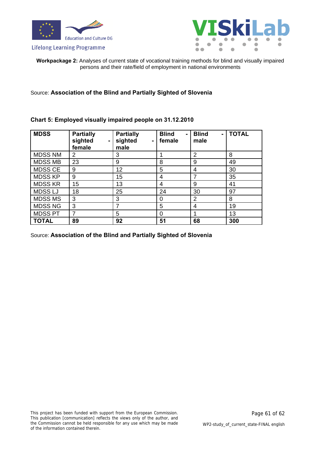





**Workpackage 2:** Analyses of current state of vocational training methods for blind and visually impaired persons and their rate/field of employment in national environments

Source: **Association of the Blind and Partially Sighted of Slovenia**

#### **Chart 5: Employed visually impaired people on 31.12.2010**

| <b>MDSS</b>    | <b>Partially</b><br>sighted<br>$\blacksquare$<br>female | <b>Partially</b><br>sighted<br>$\blacksquare$<br>male | <b>Blind</b><br>$\blacksquare$<br>female | <b>Blind</b><br>$\blacksquare$<br>male | <b>TOTAL</b> |
|----------------|---------------------------------------------------------|-------------------------------------------------------|------------------------------------------|----------------------------------------|--------------|
| <b>MDSS NM</b> | 2                                                       | 3                                                     |                                          | 2                                      | 8            |
| <b>MDSS MB</b> | 23                                                      | 9                                                     | 8                                        | 9                                      | 49           |
| <b>MDSS CE</b> | 9                                                       | 12                                                    | 5                                        | 4                                      | 30           |
| <b>MDSS KP</b> | 9                                                       | 15                                                    | 4                                        | 7                                      | 35           |
| <b>MDSS KR</b> | 15                                                      | 13                                                    | 4                                        | 9                                      | 41           |
| <b>MDSSLJ</b>  | 18                                                      | 25                                                    | 24                                       | 30                                     | 97           |
| <b>MDSS MS</b> | 3                                                       | 3                                                     | 0                                        | 2                                      | 8            |
| <b>MDSS NG</b> | 3                                                       |                                                       | 5                                        | 4                                      | 19           |
| <b>MDSS PT</b> |                                                         | 5                                                     | 0                                        |                                        | 13           |
| <b>TOTAL</b>   | 89                                                      | 92                                                    | 51                                       | 68                                     | 300          |

Source: **Association of the Blind and Partially Sighted of Slovenia**